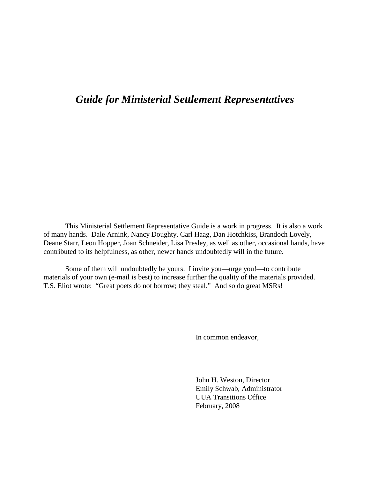# *Guide for Ministerial Settlement Representatives*

 This Ministerial Settlement Representative Guide is a work in progress. It is also a work of many hands. Dale Arnink, Nancy Doughty, Carl Haag, Dan Hotchkiss, Brandoch Lovely, Deane Starr, Leon Hopper, Joan Schneider, Lisa Presley, as well as other, occasional hands, have contributed to its helpfulness, as other, newer hands undoubtedly will in the future.

Some of them will undoubtedly be yours. I invite you—urge you!—to contribute materials of your own (e-mail is best) to increase further the quality of the materials provided. T.S. Eliot wrote: "Great poets do not borrow; they steal." And so do great MSRs!

In common endeavor,

 John H. Weston, Director Emily Schwab, Administrator UUA Transitions Office February, 2008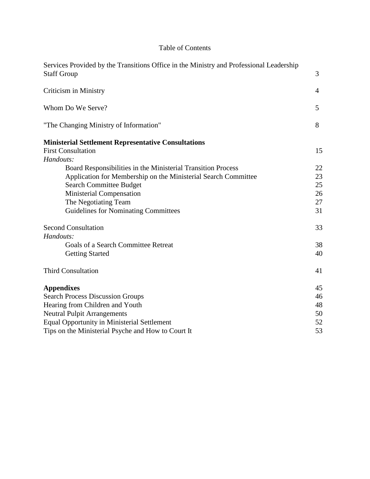# Table of Contents

| Services Provided by the Transitions Office in the Ministry and Professional Leadership<br><b>Staff Group</b> | 3              |
|---------------------------------------------------------------------------------------------------------------|----------------|
| Criticism in Ministry                                                                                         | $\overline{4}$ |
| Whom Do We Serve?                                                                                             | 5              |
| "The Changing Ministry of Information"                                                                        | 8              |
| <b>Ministerial Settlement Representative Consultations</b>                                                    |                |
| <b>First Consultation</b>                                                                                     | 15             |
| Handouts:                                                                                                     |                |
| Board Responsibilities in the Ministerial Transition Process                                                  | 22             |
| Application for Membership on the Ministerial Search Committee                                                | 23             |
| <b>Search Committee Budget</b>                                                                                | 25             |
| Ministerial Compensation                                                                                      | 26             |
| The Negotiating Team                                                                                          | 27             |
| <b>Guidelines for Nominating Committees</b>                                                                   | 31             |
| <b>Second Consultation</b>                                                                                    | 33             |
| Handouts:                                                                                                     |                |
| <b>Goals of a Search Committee Retreat</b>                                                                    | 38             |
| <b>Getting Started</b>                                                                                        | 40             |
| <b>Third Consultation</b>                                                                                     | 41             |
| <b>Appendixes</b>                                                                                             | 45             |
| <b>Search Process Discussion Groups</b>                                                                       | 46             |
| Hearing from Children and Youth                                                                               | 48             |
| <b>Neutral Pulpit Arrangements</b>                                                                            | 50             |
| <b>Equal Opportunity in Ministerial Settlement</b>                                                            | 52             |
| Tips on the Ministerial Psyche and How to Court It                                                            | 53             |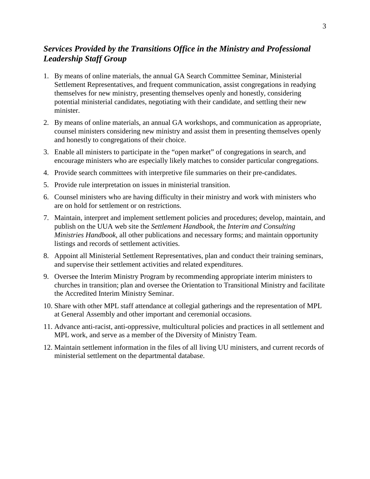# *Services Provided by the Transitions Office in the Ministry and Professional Leadership Staff Group*

- 1. By means of online materials, the annual GA Search Committee Seminar, Ministerial Settlement Representatives, and frequent communication, assist congregations in readying themselves for new ministry, presenting themselves openly and honestly, considering potential ministerial candidates, negotiating with their candidate, and settling their new minister.
- 2. By means of online materials, an annual GA workshops, and communication as appropriate, counsel ministers considering new ministry and assist them in presenting themselves openly and honestly to congregations of their choice.
- 3. Enable all ministers to participate in the "open market" of congregations in search, and encourage ministers who are especially likely matches to consider particular congregations.
- 4. Provide search committees with interpretive file summaries on their pre-candidates.
- 5. Provide rule interpretation on issues in ministerial transition.
- 6. Counsel ministers who are having difficulty in their ministry and work with ministers who are on hold for settlement or on restrictions.
- 7. Maintain, interpret and implement settlement policies and procedures; develop, maintain, and publish on the UUA web site the *Settlement Handbook*, the *Interim and Consulting Ministries Handbook*, all other publications and necessary forms; and maintain opportunity listings and records of settlement activities.
- 8. Appoint all Ministerial Settlement Representatives, plan and conduct their training seminars, and supervise their settlement activities and related expenditures.
- 9. Oversee the Interim Ministry Program by recommending appropriate interim ministers to churches in transition; plan and oversee the Orientation to Transitional Ministry and facilitate the Accredited Interim Ministry Seminar.
- 10. Share with other MPL staff attendance at collegial gatherings and the representation of MPL at General Assembly and other important and ceremonial occasions.
- 11. Advance anti-racist, anti-oppressive, multicultural policies and practices in all settlement and MPL work, and serve as a member of the Diversity of Ministry Team.
- 12. Maintain settlement information in the files of all living UU ministers, and current records of ministerial settlement on the departmental database.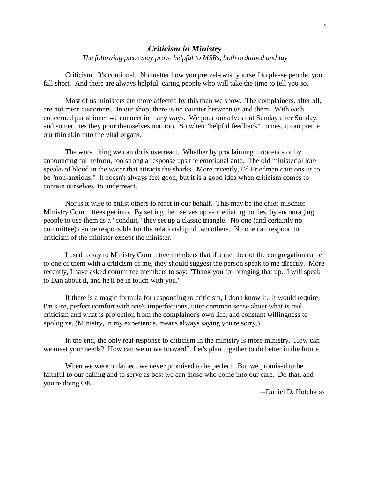# *Criticism in Ministry*

*The following piece may prove helpful to MSRs, both ordained and lay* 

 Criticism. It's continual. No matter how you pretzel-twist yourself to please people, you fall short. And there are always helpful, caring people who will take the time to tell you so.

 Most of us ministers are more affected by this than we show. The complainers, after all, are not mere customers. In our shop, there is no counter between us and them. With each concerned parishioner we connect in many ways. We pour ourselves out Sunday after Sunday, and sometimes they pour themselves out, too. So when "helpful feedback" comes, it can pierce our thin skin into the vital organs.

 The worst thing we can do is overreact. Whether by proclaiming innocence or by announcing full reform, too strong a response ups the emotional ante. The old ministerial lore speaks of blood in the water that attracts the sharks. More recently, Ed Friedman cautions us to be "non-anxious." It doesn't always feel good, but it is a good idea when criticism comes to contain ourselves, to underreact.

 Nor is it wise to enlist others to react in our behalf. This may be the chief mischief Ministry Committees get into. By setting themselves up as mediating bodies, by encouraging people to use them as a "conduit," they set up a classic triangle. No one (and certainly no committee) can be responsible for the relationship of two others. No one can respond to criticism of the minister except the minister.

 I used to say to Ministry Committee members that if a member of the congregation came to one of them with a criticism of me, they should suggest the person speak to me directly. More recently, I have asked committee members to say: "Thank you for bringing that up. I will speak to Dan about it, and he'll be in touch with you."

 If there is a magic formula for responding to criticism, I don't know it. It would require, I'm sure, perfect comfort with one's imperfections, utter common sense about what is real criticism and what is projection from the complainer's own life, and constant willingness to apologize. (Ministry, in my experience, means always saying you're sorry.)

 In the end, the only real response to criticism in the ministry is more ministry. How can we meet your needs? How can we move forward? Let's plan together to do better in the future.

 When we were ordained, we never promised to be perfect. But we promised to be faithful to our calling and to serve as best we can those who come into our care. Do that, and you're doing OK.

--Daniel D. Hotchkiss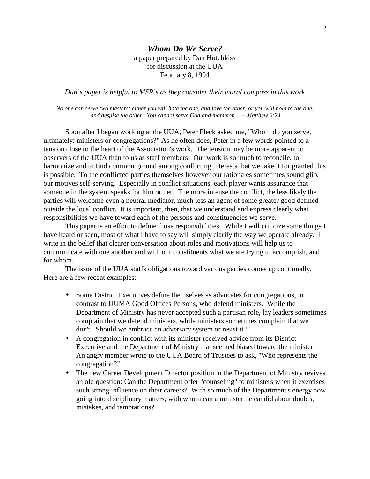#### *Whom Do We Serve?* a paper prepared by Dan Hotchkiss for discussion at the UUA February 8, 1994

*Dan's paper is helpful to MSR's as they consider their moral compass in this work* 

*No one can serve two masters: either you will hate the one, and love the other, or you will hold to the one, and despise the other. You cannot serve God and mammon. -- Matthew 6:24* 

 Soon after I began working at the UUA, Peter Fleck asked me, "Whom do you serve, ultimately: ministers or congregations?" As he often does, Peter in a few words pointed to a tension close to the heart of the Association's work. The tension may be more apparent to observers of the UUA than to us as staff members. Our work is so much to reconcile, to harmonize and to find common ground among conflicting interests that we take it for granted this is possible. To the conflicted parties themselves however our rationales sometimes sound glib, our motives self-serving. Especially in conflict situations, each player wants assurance that someone in the system speaks for him or her. The more intense the conflict, the less likely the parties will welcome even a neutral mediator, much less an agent of some greater good defined outside the local conflict. It is important, then, that we understand and express clearly what responsibilities we have toward each of the persons and constituencies we serve.

 This paper is an effort to define those responsibilities. While I will criticize some things I have heard or seen, most of what I have to say will simply clarify the way we operate already. I write in the belief that clearer conversation about roles and motivations will help us to communicate with one another and with our constituents what we are trying to accomplish, and for whom.

 The issue of the UUA staffs obligations toward various parties comes up continually. Here are a few recent examples:

- Some District Executives define themselves as advocates for congregations, in contrast to UUMA Good Offices Persons, who defend ministers. While the Department of Ministry has never accepted such a partisan role, lay leaders sometimes complain that we defend ministers, while ministers sometimes complain that we don't. Should we embrace an adversary system or resist it?
- A congregation in conflict with its minister received advice from its District Executive and the Department of Ministry that seemed biased toward the minister. An angry member wrote to the UUA Board of Trustees to ask, "Who represents the congregation?"
- The new Career Development Director position in the Department of Ministry revives an old question: Can the Department offer "counseling" to ministers when it exercises such strong influence on their careers? With so much of the Department's energy now going into disciplinary matters, with whom can a minister be candid about doubts, mistakes, and temptations?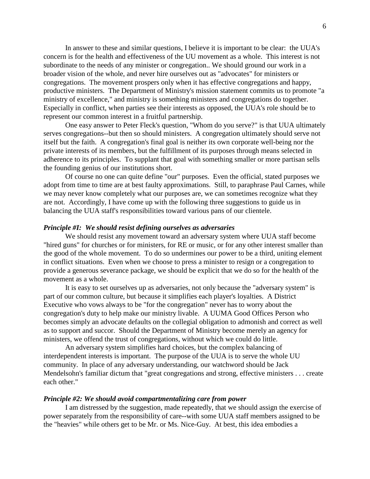In answer to these and similar questions, I believe it is important to be clear: the UUA's concern is for the health and effectiveness of the UU movement as a whole. This interest is not subordinate to the needs of any minister or congregation.. We should ground our work in a broader vision of the whole, and never hire ourselves out as "advocates" for ministers or congregations. The movement prospers only when it has effective congregations and happy, productive ministers. The Department of Ministry's mission statement commits us to promote "a ministry of excellence," and ministry is something ministers and congregations do together. Especially in conflict, when parties see their interests as opposed, the UUA's role should be to represent our common interest in a fruitful partnership.

 One easy answer to Peter Fleck's question, "Whom do you serve?" is that UUA ultimately serves congregations--but then so should ministers. A congregation ultimately should serve not itself but the faith. A congregation's final goal is neither its own corporate well-being nor the private interests of its members, but the fulfillment of its purposes through means selected in adherence to its principles. To supplant that goal with something smaller or more partisan sells the founding genius of our institutions short.

 Of course no one can quite define "our" purposes. Even the official, stated purposes we adopt from time to time are at best faulty approximations. Still, to paraphrase Paul Carnes, while we may never know completely what our purposes are, we can sometimes recognize what they are not. Accordingly, I have come up with the following three suggestions to guide us in balancing the UUA staff's responsibilities toward various pans of our clientele.

#### *Principle #I: We should resist defining ourselves as adversaries*

 We should resist any movement toward an adversary system where UUA staff become "hired guns" for churches or for ministers, for RE or music, or for any other interest smaller than the good of the whole movement. To do so undermines our power to be a third, uniting element in conflict situations. Even when we choose to press a minister to resign or a congregation to provide a generous severance package, we should be explicit that we do so for the health of the movement as a whole.

 It is easy to set ourselves up as adversaries, not only because the "adversary system" is part of our common culture, but because it simplifies each player's loyalties. A District Executive who vows always to be "for the congregation" never has to worry about the congregation's duty to help make our ministry livable. A UUMA Good Offices Person who becomes simply an advocate defaults on the collegial obligation to admonish and correct as well as to support and succor. Should the Department of Ministry become merely an agency for ministers, we offend the trust of congregations, without which we could do little.

 An adversary system simplifies hard choices, but the complex balancing of interdependent interests is important. The purpose of the UUA is to serve the whole UU community. In place of any adversary understanding, our watchword should be Jack Mendelsohn's familiar dictum that "great congregations and strong, effective ministers . . . create each other."

#### *Principle #2: We should avoid compartmentalizing care from power*

 I am distressed by the suggestion, made repeatedly, that we should assign the exercise of power separately from the responsibility of care--with some UUA staff members assigned to be the "heavies" while others get to be Mr. or Ms. Nice-Guy. At best, this idea embodies a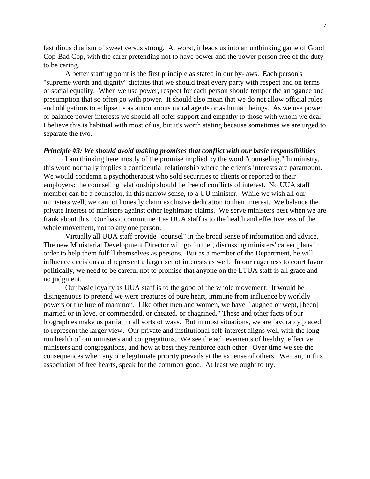fastidious dualism of sweet versus strong. At worst, it leads us into an unthinking game of Good Cop-Bad Cop, with the carer pretending not to have power and the power person free of the duty to be caring.

 A better starting point is the first principle as stated in our by-laws. Each person's "supreme worth and dignity" dictates that we should treat every party with respect and on terms of social equality. When we use power, respect for each person should temper the arrogance and presumption that so often go with power. It should also mean that we do not allow official roles and obligations to eclipse us as autonomous moral agents or as human beings. As we use power or balance power interests we should all offer support and empathy to those with whom we deal. I believe this is habitual with most of us, but it's worth stating because sometimes we are urged to separate the two.

#### *Principle #3: We should avoid making promises that conflict with our basic responsibilities*

 I am thinking here mostly of the promise implied by the word "counseling." In ministry, this word normally implies a confidential relationship where the client's interests are paramount. We would condemn a psychotherapist who sold securities to clients or reported to their employers: the counseling relationship should be free of conflicts of interest. No UUA staff member can be a counselor, in this narrow sense, to a UU minister. While we wish all our ministers well, we cannot honestly claim exclusive dedication to their interest. We balance the private interest of ministers against other legitimate claims. We serve ministers best when we are frank about this. Our basic commitment as UUA staff is to the health and effectiveness of the whole movement, not to any one person.

 Virtually all UUA staff provide "counsel" in the broad sense of information and advice. The new Ministerial Development Director will go further, discussing ministers' career plans in order to help them fulfill themselves as persons. But as a member of the Department, he will influence decisions and represent a larger set of interests as well. In our eagerness to court favor politically, we need to be careful not to promise that anyone on the LTUA staff is all grace and no judgment.

 Our basic loyalty as UUA staff is to the good of the whole movement. It would be disingenuous to pretend we were creatures of pure heart, immune from influence by worldly powers or the lure of mammon. Like other men and women, we have "laughed or wept, [been] married or in love, or commended, or cheated, or chagrined." These and other facts of our biographies make us partial in all sorts of ways. But in most situations, we are favorably placed to represent the larger view. Our private and institutional self-interest aligns well with the longrun health of our ministers and congregations. We see the achievements of healthy, effective ministers and congregations, and how at best they reinforce each other. Over time we see the consequences when any one legitimate priority prevails at the expense of others. We can, in this association of free hearts, speak for the common good. At least we ought to try.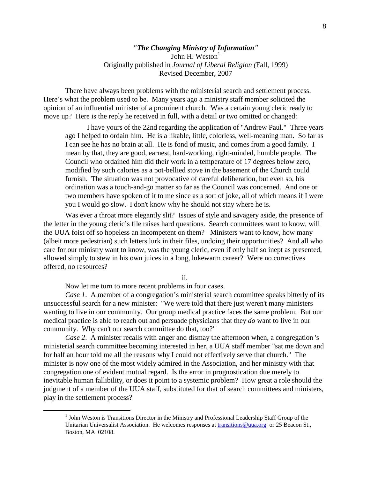#### *"The Changing Ministry of Information"*  John H. Weston<sup>1</sup> Originally published in *Journal of Liberal Religion (*Fall, 1999) Revised December, 2007

There have always been problems with the ministerial search and settlement process. Here's what the problem used to be. Many years ago a ministry staff member solicited the opinion of an influential minister of a prominent church. Was a certain young cleric ready to move up? Here is the reply he received in full, with a detail or two omitted or changed:

I have yours of the 22nd regarding the application of "Andrew Paul." Three years ago I helped to ordain him. He is a likable, little, colorless, well-meaning man. So far as I can see he has no brain at all. He is fond of music, and comes from a good family. I mean by that, they are good, earnest, hard-working, right-minded, humble people. The Council who ordained him did their work in a temperature of 17 degrees below zero, modified by such calories as a pot-bellied stove in the basement of the Church could furnish. The situation was not provocative of careful deliberation, but even so, his ordination was a touch-and-go matter so far as the Council was concerned. And one or two members have spoken of it to me since as a sort of joke, all of which means if I were you I would go slow. I don't know why he should not stay where he is.

Was ever a throat more elegantly slit? Issues of style and savagery aside, the presence of the letter in the young cleric's file raises hard questions. Search committees want to know, will the UUA foist off so hopeless an incompetent on them? Ministers want to know, how many (albeit more pedestrian) such letters lurk in their files, undoing their opportunities? And all who care for our ministry want to know, was the young cleric, even if only half so inept as presented, allowed simply to stew in his own juices in a long, lukewarm career? Were no correctives offered, no resources?

ii.

Now let me turn to more recent problems in four cases.

 $\overline{a}$ 

*Case 1*. A member of a congregation's ministerial search committee speaks bitterly of its unsuccessful search for a new minister: "We were told that there just weren't many ministers wanting to live in our community. Our group medical practice faces the same problem. But our medical practice is able to reach out and persuade physicians that they *do* want to live in our community. Why can't our search committee do that, too?"

*Case 2.* A minister recalls with anger and dismay the afternoon when, a congregation 's ministerial search committee becoming interested in her, a UUA staff member "sat me down and for half an hour told me all the reasons why I could not effectively serve that church." The minister is now one of the most widely admired in the Association, and her ministry with that congregation one of evident mutual regard. Is the error in prognostication due merely to inevitable human fallibility, or does it point to a systemic problem? How great a role should the judgment of a member of the UUA staff, substituted for that of search committees and ministers, play in the settlement process?

<sup>&</sup>lt;sup>1</sup> John Weston is Transitions Director in the Ministry and Professional Leadership Staff Group of the Unitarian Universalist Association. He welcomes responses at transitions@uua.org or 25 Beacon St., Boston, MA 02108.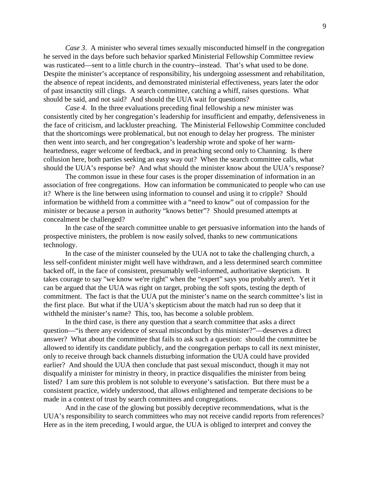*Case 3.* A minister who several times sexually misconducted himself in the congregation he served in the days before such behavior sparked Ministerial Fellowship Committee review was rusticated—sent to a little church in the country--instead. That's what used to be done. Despite the minister's acceptance of responsibility, his undergoing assessment and rehabilitation, the absence of repeat incidents, and demonstrated ministerial effectiveness, years later the odor of past insanctity still clings. A search committee, catching a whiff, raises questions. What should be said, and not said? And should the UUA wait for questions?

*Case 4*. In the three evaluations preceding final fellowship a new minister was consistently cited by her congregation's leadership for insufficient and empathy, defensiveness in the face of criticism, and lackluster preaching. The Ministerial Fellowship Committee concluded that the shortcomings were problematical, but not enough to delay her progress. The minister then went into search, and her congregation's leadership wrote and spoke of her warmheartedness, eager welcome of feedback, and in preaching second only to Channing. Is there collusion here, both parties seeking an easy way out? When the search committee calls, what should the UUA's response be? And what should the minister know about the UUA's response?

The common issue in these four cases is the proper dissemination of information in an association of free congregations. How can information be communicated to people who can use it? Where is the line between using information to counsel and using it to cripple? Should information be withheld from a committee with a "need to know" out of compassion for the minister or because a person in authority "knows better"? Should presumed attempts at concealment be challenged?

In the case of the search committee unable to get persuasive information into the hands of prospective ministers, the problem is now easily solved, thanks to new communications technology.

In the case of the minister counseled by the UUA not to take the challenging church, a less self-confident minister might well have withdrawn, and a less determined search committee backed off, in the face of consistent, presumably well-informed, authoritative skepticism. It takes courage to say "we know we're right" when the "expert" says you probably aren't. Yet it can be argued that the UUA was right on target, probing the soft spots, testing the depth of commitment. The fact is that the UUA put the minister's name on the search committee's list in the first place. But what if the UUA's skepticism about the match had run so deep that it withheld the minister's name? This, too, has become a soluble problem.

In the third case, is there any question that a search committee that asks a direct question—"is there any evidence of sexual misconduct by this minister?"—deserves a direct answer? What about the committee that fails to ask such a question: should the committee be allowed to identify its candidate publicly, and the congregation perhaps to call its next minister, only to receive through back channels disturbing information the UUA could have provided earlier? And should the UUA then conclude that past sexual misconduct, though it may not disqualify a minister for ministry in theory, in practice disqualifies the minister from being listed? I am sure this problem is not soluble to everyone's satisfaction. But there must be a consistent practice, widely understood, that allows enlightened and temperate decisions to be made in a context of trust by search committees and congregations.

And in the case of the glowing but possibly deceptive recommendations, what is the UUA's responsibility to search committees who may not receive candid reports from references? Here as in the item preceding, I would argue, the UUA is obliged to interpret and convey the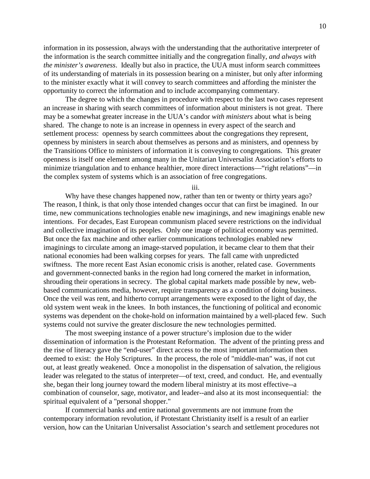information in its possession, always with the understanding that the authoritative interpreter of the information is the search committee initially and the congregation finally, *and always with the minister's awareness*. Ideally but also in practice, the UUA must inform search committees of its understanding of materials in its possession bearing on a minister, but only after informing to the minister exactly what it will convey to search committees and affording the minister the opportunity to correct the information and to include accompanying commentary.

The degree to which the changes in procedure with respect to the last two cases represent an increase in sharing with search committees of information about ministers is not great. There may be a somewhat greater increase in the UUA's candor *with ministers* about what is being shared. The change to note is an increase in openness in every aspect of the search and settlement process: openness by search committees about the congregations they represent, openness by ministers in search about themselves as persons and as ministers, and openness by the Transitions Office to ministers of information it is conveying to congregations. This greater openness is itself one element among many in the Unitarian Universalist Association's efforts to minimize triangulation and to enhance healthier, more direct interactions—"right relations"—in the complex system of systems which is an association of free congregations.

iii.

Why have these changes happened now, rather than ten or twenty or thirty years ago? The reason, I think, is that only those intended changes occur that can first be imagined. In our time, new communications technologies enable new imaginings, and new imaginings enable new intentions. For decades, East European communism placed severe restrictions on the individual and collective imagination of its peoples. Only one image of political economy was permitted. But once the fax machine and other earlier communications technologies enabled new imaginings to circulate among an image-starved population, it became clear to them that their national economies had been walking corpses for years. The fall came with unpredicted swiftness. The more recent East Asian economic crisis is another, related case. Governments and government-connected banks in the region had long cornered the market in information, shrouding their operations in secrecy. The global capital markets made possible by new, webbased communications media, however, require transparency as a condition of doing business. Once the veil was rent, and hitherto corrupt arrangements were exposed to the light of day, the old system went weak in the knees. In both instances, the functioning of political and economic systems was dependent on the choke-hold on information maintained by a well-placed few. Such systems could not survive the greater disclosure the new technologies permitted.

The most sweeping instance of a power structure's implosion due to the wider dissemination of information is the Protestant Reformation. The advent of the printing press and the rise of literacy gave the "end-user" direct access to the most important information then deemed to exist: the Holy Scriptures. In the process, the role of "middle-man" was, if not cut out, at least greatly weakened. Once a monopolist in the dispensation of salvation, the religious leader was relegated to the status of interpreter—of text, creed, and conduct. He, and eventually she, began their long journey toward the modern liberal ministry at its most effective--a combination of counselor, sage, motivator, and leader--and also at its most inconsequential: the spiritual equivalent of a "personal shopper."

If commercial banks and entire national governments are not immune from the contemporary information revolution, if Protestant Christianity itself is a result of an earlier version, how can the Unitarian Universalist Association's search and settlement procedures not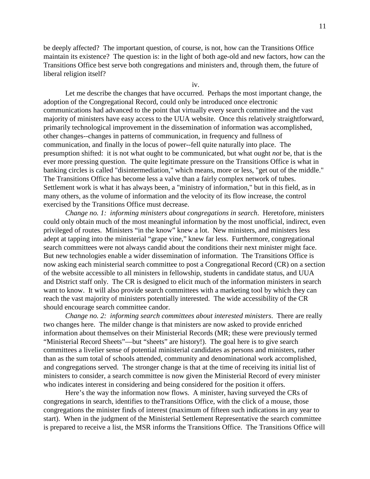be deeply affected? The important question, of course, is not, how can the Transitions Office maintain its existence? The question is: in the light of both age-old and new factors, how can the Transitions Office best serve both congregations and ministers and, through them, the future of liberal religion itself?

iv.

Let me describe the changes that have occurred. Perhaps the most important change, the adoption of the Congregational Record, could only be introduced once electronic communications had advanced to the point that virtually every search committee and the vast majority of ministers have easy access to the UUA website. Once this relatively straightforward, primarily technological improvement in the dissemination of information was accomplished, other changes--changes in patterns of communication, in frequency and fullness of communication, and finally in the locus of power--fell quite naturally into place. The presumption shifted: it is not what ought to be communicated, but what ought *not* be, that is the ever more pressing question. The quite legitimate pressure on the Transitions Office is what in banking circles is called "disintermediation," which means, more or less, "get out of the middle." The Transitions Office has become less a valve than a fairly complex network of tubes. Settlement work is what it has always been, a "ministry of information," but in this field, as in many others, as the volume of information and the velocity of its flow increase, the control exercised by the Transitions Office must decrease.

*Change no. 1: informing ministers about congregations in search*. Heretofore, ministers could only obtain much of the most meaningful information by the most unofficial, indirect, even privileged of routes. Ministers "in the know" knew a lot. New ministers, and ministers less adept at tapping into the ministerial "grape vine," knew far less. Furthermore, congregational search committees were not always candid about the conditions their next minister might face. But new technologies enable a wider dissemination of information. The Transitions Office is now asking each ministerial search committee to post a Congregational Record (CR) on a section of the website accessible to all ministers in fellowship, students in candidate status, and UUA and District staff only. The CR is designed to elicit much of the information ministers in search want to know. It will also provide search committees with a marketing tool by which they can reach the vast majority of ministers potentially interested. The wide accessibility of the CR should encourage search committee candor.

*Change no. 2: informing search committees about interested ministers*. There are really two changes here. The milder change is that ministers are now asked to provide enriched information about themselves on their Ministerial Records (MR; these were previously termed "Ministerial Record Sheets"—but "sheets" are history!). The goal here is to give search committees a livelier sense of potential ministerial candidates as persons and ministers, rather than as the sum total of schools attended, community and denominational work accomplished, and congregations served. The stronger change is that at the time of receiving its initial list of ministers to consider, a search committee is now given the Ministerial Record of every minister who indicates interest in considering and being considered for the position it offers.

Here's the way the information now flows. A minister, having surveyed the CRs of congregations in search, identifies to theTransitions Office, with the click of a mouse, those congregations the minister finds of interest (maximum of fifteen such indications in any year to start). When in the judgment of the Ministerial Settlement Representative the search committee is prepared to receive a list, the MSR informs the Transitions Office. The Transitions Office will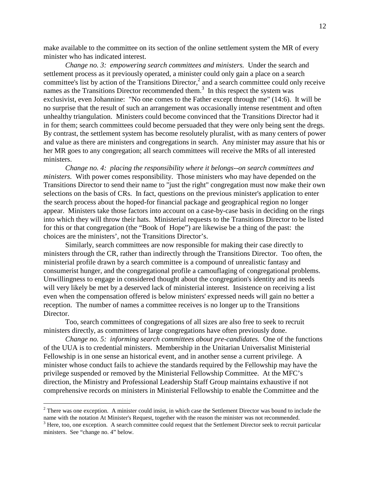make available to the committee on its section of the online settlement system the MR of every minister who has indicated interest.

*Change no. 3: empowering search committees and ministers.* Under the search and settlement process as it previously operated, a minister could only gain a place on a search committee's list by action of the Transitions Director,<sup>2</sup> and a search committee could only receive names as the Transitions Director recommended them.<sup>3</sup> In this respect the system was exclusivist, even Johannine: "No one comes to the Father except through me" (14:6). It will be no surprise that the result of such an arrangement was occasionally intense resentment and often unhealthy triangulation. Ministers could become convinced that the Transitions Director had it in for them; search committees could become persuaded that they were only being sent the dregs. By contrast, the settlement system has become resolutely pluralist, with as many centers of power and value as there are ministers and congregations in search. Any minister may assure that his or her MR goes to any congregation; all search committees will receive the MRs of all interested ministers.

*Change no. 4: placing the responsibility where it belongs--on search committees and ministers.* With power comes responsibility. Those ministers who may have depended on the Transitions Director to send their name to "just the right" congregation must now make their own selections on the basis of CRs. In fact, questions on the previous minister's application to enter the search process about the hoped-for financial package and geographical region no longer appear. Ministers take those factors into account on a case-by-case basis in deciding on the rings into which they will throw their hats. Ministerial requests to the Transitions Director to be listed for this or that congregation (the "Book of Hope") are likewise be a thing of the past: the choices are the ministers', not the Transitions Director's.

Similarly, search committees are now responsible for making their case directly to ministers through the CR, rather than indirectly through the Transitions Director. Too often, the ministerial profile drawn by a search committee is a compound of unrealistic fantasy and consumerist hunger, and the congregational profile a camouflaging of congregational problems. Unwillingness to engage in considered thought about the congregation's identity and its needs will very likely be met by a deserved lack of ministerial interest. Insistence on receiving a list even when the compensation offered is below ministers' expressed needs will gain no better a reception. The number of names a committee receives is no longer up to the Transitions Director.

Too, search committees of congregations of all sizes are also free to seek to recruit ministers directly, as committees of large congregations have often previously done.

*Change no. 5: informing search committees about pre-candidates.* One of the functions of the UUA is to credential ministers. Membership in the Unitarian Universalist Ministerial Fellowship is in one sense an historical event, and in another sense a current privilege. A minister whose conduct fails to achieve the standards required by the Fellowship may have the privilege suspended or removed by the Ministerial Fellowship Committee. At the MFC's direction, the Ministry and Professional Leadership Staff Group maintains exhaustive if not comprehensive records on ministers in Ministerial Fellowship to enable the Committee and the

<u>.</u>

 $2^2$  There was one exception. A minister could insist, in which case the Settlement Director was bound to include the name with the notation At Minister's Request, together with the reason the minister was not recommended.

 $3$  Here, too, one exception. A search committee could request that the Settlement Director seek to recruit particular ministers. See "change no. 4" below.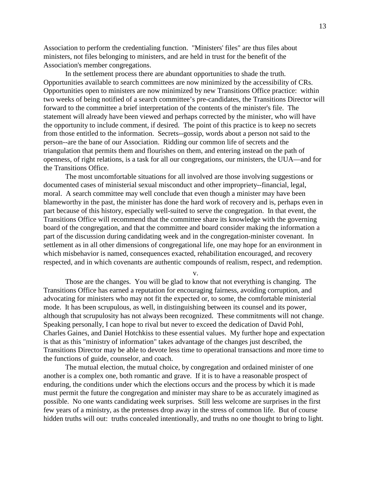Association to perform the credentialing function. "Ministers' files" are thus files about ministers, not files belonging to ministers, and are held in trust for the benefit of the Association's member congregations.

In the settlement process there are abundant opportunities to shade the truth. Opportunities available to search committees are now minimized by the accessibility of CRs. Opportunities open to ministers are now minimized by new Transitions Office practice: within two weeks of being notified of a search committee's pre-candidates, the Transitions Director will forward to the committee a brief interpretation of the contents of the minister's file. The statement will already have been viewed and perhaps corrected by the minister, who will have the opportunity to include comment, if desired. The point of this practice is to keep no secrets from those entitled to the information. Secrets--gossip, words about a person not said to the person--are the bane of our Association. Ridding our common life of secrets and the triangulation that permits them and flourishes on them, and entering instead on the path of openness, of right relations, is a task for all our congregations, our ministers, the UUA—and for the Transitions Office.

The most uncomfortable situations for all involved are those involving suggestions or documented cases of ministerial sexual misconduct and other impropriety--financial, legal, moral. A search committee may well conclude that even though a minister may have been blameworthy in the past, the minister has done the hard work of recovery and is, perhaps even in part because of this history, especially well-suited to serve the congregation. In that event, the Transitions Office will recommend that the committee share its knowledge with the governing board of the congregation, and that the committee and board consider making the information a part of the discussion during candidating week and in the congregation-minister covenant. In settlement as in all other dimensions of congregational life, one may hope for an environment in which misbehavior is named, consequences exacted, rehabilitation encouraged, and recovery respected, and in which covenants are authentic compounds of realism, respect, and redemption.

v.

Those are the changes. You will be glad to know that not everything is changing. The Transitions Office has earned a reputation for encouraging fairness, avoiding corruption, and advocating for ministers who may not fit the expected or, to some, the comfortable ministerial mode. It has been scrupulous, as well, in distinguishing between its counsel and its power, although that scrupulosity has not always been recognized. These commitments will not change. Speaking personally, I can hope to rival but never to exceed the dedication of David Pohl, Charles Gaines, and Daniel Hotchkiss to these essential values. My further hope and expectation is that as this "ministry of information" takes advantage of the changes just described, the Transitions Director may be able to devote less time to operational transactions and more time to the functions of guide, counselor, and coach.

The mutual election, the mutual choice, by congregation and ordained minister of one another is a complex one, both romantic and grave. If it is to have a reasonable prospect of enduring, the conditions under which the elections occurs and the process by which it is made must permit the future the congregation and minister may share to be as accurately imagined as possible. No one wants candidating week surprises. Still less welcome are surprises in the first few years of a ministry, as the pretenses drop away in the stress of common life. But of course hidden truths will out: truths concealed intentionally, and truths no one thought to bring to light.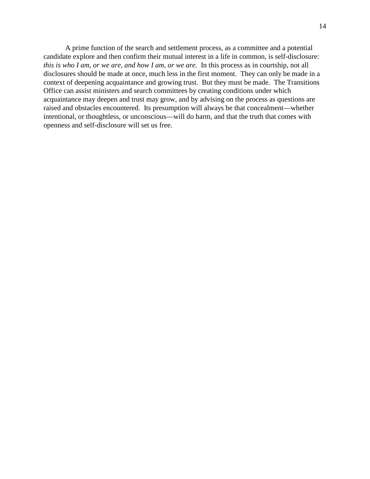A prime function of the search and settlement process, as a committee and a potential candidate explore and then confirm their mutual interest in a life in common, is self-disclosure: *this is who I am, or we are, and how I am, or we are*. In this process as in courtship, not all disclosures should be made at once, much less in the first moment. They can only be made in a context of deepening acquaintance and growing trust. But they must be made. The Transitions Office can assist ministers and search committees by creating conditions under which acquaintance may deepen and trust may grow, and by advising on the process as questions are raised and obstacles encountered. Its presumption will always be that concealment—whether intentional, or thoughtless, or unconscious—will do harm, and that the truth that comes with openness and self-disclosure will set us free.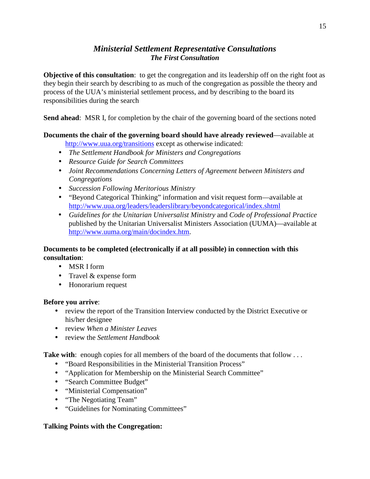# *Ministerial Settlement Representative Consultations The First Consultation*

**Objective of this consultation**: to get the congregation and its leadership off on the right foot as they begin their search by describing to as much of the congregation as possible the theory and process of the UUA's ministerial settlement process, and by describing to the board its responsibilities during the search

**Send ahead**: MSR I, for completion by the chair of the governing board of the sections noted

# **Documents the chair of the governing board should have already reviewed**—available at

http://www.uua.org/transitions except as otherwise indicated:

- *The Settlement Handbook for Ministers and Congregations*
- *Resource Guide for Search Committees*
- *Joint Recommendations Concerning Letters of Agreement between Ministers and Congregations*
- *Succession Following Meritorious Ministry*
- "Beyond Categorical Thinking" information and visit request form—available at http://www.uua.org/leaders/leaderslibrary/beyondcategorical/index.shtml
- *Guidelines for the Unitarian Universalist Ministry* and *Code of Professional Practice* published by the Unitarian Universalist Ministers Association (UUMA)—available at http://www.uuma.org/main/docindex.htm.

# **Documents to be completed (electronically if at all possible) in connection with this consultation**:

- MSR I form
- Travel & expense form
- Honorarium request

#### **Before you arrive**:

- review the report of the Transition Interview conducted by the District Executive or his/her designee
- review *When a Minister Leaves*
- review the *Settlement Handbook*

**Take with**: enough copies for all members of the board of the documents that follow . . .

- "Board Responsibilities in the Ministerial Transition Process"
- "Application for Membership on the Ministerial Search Committee"
- "Search Committee Budget"
- "Ministerial Compensation"
- "The Negotiating Team"
- "Guidelines for Nominating Committees"

#### **Talking Points with the Congregation:**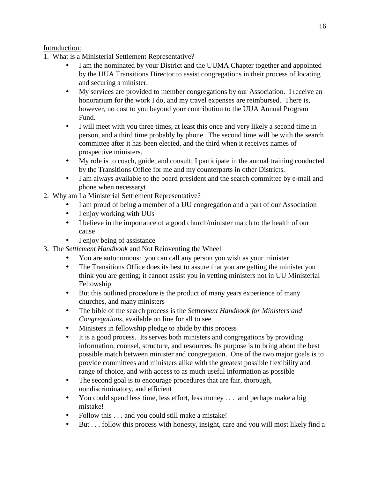# Introduction:

- 1. What is a Ministerial Settlement Representative?
	- I am the nominated by your District and the UUMA Chapter together and appointed by the UUA Transitions Director to assist congregations in their process of locating and securing a minister.
	- My services are provided to member congregations by our Association. I receive an honorarium for the work I do, and my travel expenses are reimbursed. There is, however, no cost to you beyond your contribution to the UUA Annual Program Fund.
	- I will meet with you three times, at least this once and very likely a second time in person, and a third time probably by phone. The second time will be with the search committee after it has been elected, and the third when it receives names of prospective ministers.
	- My role is to coach, guide, and consult; I participate in the annual training conducted by the Transitions Office for me and my counterparts in other Districts.
	- I am always available to the board president and the search committee by e-mail and phone when necessaryt
- 2. Why am I a Ministerial Settlement Representative?
	- I am proud of being a member of a UU congregation and a part of our Association
	- I enjoy working with UUs
	- I believe in the importance of a good church/minister match to the health of our cause
	- I enjoy being of assistance
- 3. The *Settlement Handbook* and Not Reinventing the Wheel
	- You are autonomous: you can call any person you wish as your minister
	- The Transitions Office does its best to assure that you are getting the minister you think you are getting; it cannot assist you in vetting ministers not in UU Ministerial Fellowship
	- But this outlined procedure is the product of many years experience of many churches, and many ministers
	- The bible of the search process is the *Settlement Handbook for Ministers and Congregations*, available on line for all to see
	- Ministers in fellowship pledge to abide by this process
	- It is a good process. Its serves both ministers and congregations by providing information, counsel, structure, and resources. Its purpose is to bring about the best possible match between minister and congregation. One of the two major goals is to provide committees and ministers alike with the greatest possible flexibility and range of choice, and with access to as much useful information as possible
	- The second goal is to encourage procedures that are fair, thorough, nondiscriminatory, and efficient
	- You could spend less time, less effort, less money . . . and perhaps make a big mistake!
	- Follow this . . . and you could still make a mistake!
	- But . . . follow this process with honesty, insight, care and you will most likely find a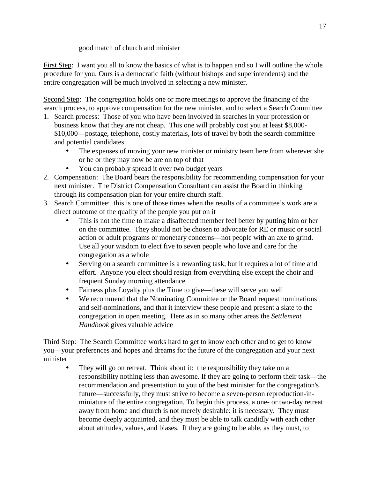good match of church and minister

First Step: I want you all to know the basics of what is to happen and so I will outline the whole procedure for you. Ours is a democratic faith (without bishops and superintendents) and the entire congregation will be much involved in selecting a new minister.

Second Step: The congregation holds one or more meetings to approve the financing of the search process, to approve compensation for the new minister, and to select a Search Committee

- 1. Search process: Those of you who have been involved in searches in your profession or business know that they are not cheap. This one will probably cost you at least \$8,000- \$10,000—postage, telephone, costly materials, lots of travel by both the search committee and potential candidates
	- The expenses of moving your new minister or ministry team here from wherever she or he or they may now be are on top of that
	- You can probably spread it over two budget years
- 2. Compensation: The Board bears the responsibility for recommending compensation for your next minister. The District Compensation Consultant can assist the Board in thinking through its compensation plan for your entire church staff.
- 3. Search Committee: this is one of those times when the results of a committee's work are a direct outcome of the quality of the people you put on it
	- This is not the time to make a disaffected member feel better by putting him or her on the committee. They should not be chosen to advocate for RE or music or social action or adult programs or monetary concerns—not people with an axe to grind. Use all your wisdom to elect five to seven people who love and care for the congregation as a whole
	- Serving on a search committee is a rewarding task, but it requires a lot of time and effort. Anyone you elect should resign from everything else except the choir and frequent Sunday morning attendance
	- Fairness plus Loyalty plus the Time to give—these will serve you well
	- We recommend that the Nominating Committee or the Board request nominations and self-nominations, and that it interview these people and present a slate to the congregation in open meeting. Here as in so many other areas the *Settlement Handbook* gives valuable advice

Third Step: The Search Committee works hard to get to know each other and to get to know you—your preferences and hopes and dreams for the future of the congregation and your next minister

They will go on retreat. Think about it: the responsibility they take on a responsibility nothing less than awesome. If they are going to perform their task—the recommendation and presentation to you of the best minister for the congregation's future—successfully, they must strive to become a seven-person reproduction-inminiature of the entire congregation. To begin this process, a one- or two-day retreat away from home and church is not merely desirable: it is necessary. They must become deeply acquainted, and they must be able to talk candidly with each other about attitudes, values, and biases. If they are going to be able, as they must, to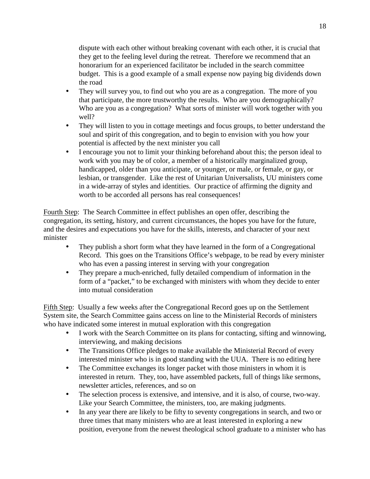dispute with each other without breaking covenant with each other, it is crucial that they get to the feeling level during the retreat. Therefore we recommend that an honorarium for an experienced facilitator be included in the search committee budget. This is a good example of a small expense now paying big dividends down the road

- They will survey you, to find out who you are as a congregation. The more of you that participate, the more trustworthy the results. Who are you demographically? Who are you as a congregation? What sorts of minister will work together with you well?
- They will listen to you in cottage meetings and focus groups, to better understand the soul and spirit of this congregation, and to begin to envision with you how your potential is affected by the next minister you call
- I encourage you not to limit your thinking beforehand about this; the person ideal to work with you may be of color, a member of a historically marginalized group, handicapped, older than you anticipate, or younger, or male, or female, or gay, or lesbian, or transgender. Like the rest of Unitarian Universalists, UU ministers come in a wide-array of styles and identities. Our practice of affirming the dignity and worth to be accorded all persons has real consequences!

Fourth Step: The Search Committee in effect publishes an open offer, describing the congregation, its setting, history, and current circumstances, the hopes you have for the future, and the desires and expectations you have for the skills, interests, and character of your next minister

- They publish a short form what they have learned in the form of a Congregational Record. This goes on the Transitions Office's webpage, to be read by every minister who has even a passing interest in serving with your congregation
- They prepare a much-enriched, fully detailed compendium of information in the form of a "packet," to be exchanged with ministers with whom they decide to enter into mutual consideration

Fifth Step: Usually a few weeks after the Congregational Record goes up on the Settlement System site, the Search Committee gains access on line to the Ministerial Records of ministers who have indicated some interest in mutual exploration with this congregation

- I work with the Search Committee on its plans for contacting, sifting and winnowing, interviewing, and making decisions
- The Transitions Office pledges to make available the Ministerial Record of every interested minister who is in good standing with the UUA. There is no editing here
- The Committee exchanges its longer packet with those ministers in whom it is interested in return. They, too, have assembled packets, full of things like sermons, newsletter articles, references, and so on
- The selection process is extensive, and intensive, and it is also, of course, two-way. Like your Search Committee, the ministers, too, are making judgments.
- In any year there are likely to be fifty to seventy congregations in search, and two or three times that many ministers who are at least interested in exploring a new position, everyone from the newest theological school graduate to a minister who has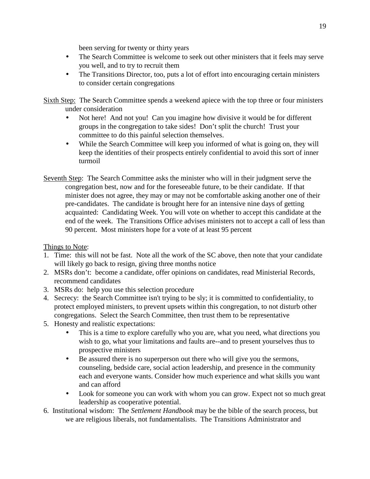been serving for twenty or thirty years

- The Search Committee is welcome to seek out other ministers that it feels may serve you well, and to try to recruit them
- The Transitions Director, too, puts a lot of effort into encouraging certain ministers to consider certain congregations

Sixth Step: The Search Committee spends a weekend apiece with the top three or four ministers under consideration

- Not here! And not you! Can you imagine how divisive it would be for different groups in the congregation to take sides! Don't split the church! Trust your committee to do this painful selection themselves.
- While the Search Committee will keep you informed of what is going on, they will keep the identities of their prospects entirely confidential to avoid this sort of inner turmoil
- Seventh Step: The Search Committee asks the minister who will in their judgment serve the congregation best, now and for the foreseeable future, to be their candidate. If that minister does not agree, they may or may not be comfortable asking another one of their pre-candidates. The candidate is brought here for an intensive nine days of getting acquainted: Candidating Week. You will vote on whether to accept this candidate at the end of the week. The Transitions Office advises ministers not to accept a call of less than 90 percent. Most ministers hope for a vote of at least 95 percent

Things to Note:

- 1. Time: this will not be fast. Note all the work of the SC above, then note that your candidate will likely go back to resign, giving three months notice
- 2. MSRs don't: become a candidate, offer opinions on candidates, read Ministerial Records, recommend candidates
- 3. MSRs do: help you use this selection procedure
- 4. Secrecy: the Search Committee isn't trying to be sly; it is committed to confidentiality, to protect employed ministers, to prevent upsets within this congregation, to not disturb other congregations. Select the Search Committee, then trust them to be representative
- 5. Honesty and realistic expectations:
	- This is a time to explore carefully who you are, what you need, what directions you wish to go, what your limitations and faults are--and to present yourselves thus to prospective ministers
	- Be assured there is no superperson out there who will give you the sermons, counseling, bedside care, social action leadership, and presence in the community each and everyone wants. Consider how much experience and what skills you want and can afford
	- Look for someone you can work with whom you can grow. Expect not so much great leadership as cooperative potential.
- 6. Institutional wisdom: The *Settlement Handbook* may be the bible of the search process, but we are religious liberals, not fundamentalists. The Transitions Administrator and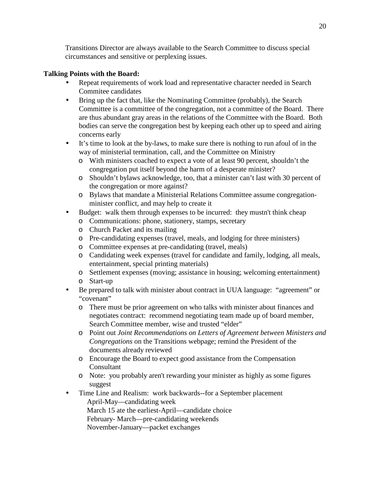Transitions Director are always available to the Search Committee to discuss special circumstances and sensitive or perplexing issues.

#### **Talking Points with the Board:**

- Repeat requirements of work load and representative character needed in Search Commitee candidates
- Bring up the fact that, like the Nominating Committee (probably), the Search Committee is a committee of the congregation, not a committee of the Board. There are thus abundant gray areas in the relations of the Committee with the Board. Both bodies can serve the congregation best by keeping each other up to speed and airing concerns early
- It's time to look at the by-laws, to make sure there is nothing to run afoul of in the way of ministerial termination, call, and the Committee on Ministry
	- o With ministers coached to expect a vote of at least 90 percent, shouldn't the congregation put itself beyond the harm of a desperate minister?
	- o Shouldn't bylaws acknowledge, too, that a minister can't last with 30 percent of the congregation or more against?
	- o Bylaws that mandate a Ministerial Relations Committee assume congregationminister conflict, and may help to create it
- Budget: walk them through expenses to be incurred: they must n't think cheap
	- o Communications: phone, stationery, stamps, secretary
	- o Church Packet and its mailing
	- o Pre-candidating expenses (travel, meals, and lodging for three ministers)
	- o Committee expenses at pre-candidating (travel, meals)
	- o Candidating week expenses (travel for candidate and family, lodging, all meals, entertainment, special printing materials)
	- o Settlement expenses (moving; assistance in housing; welcoming entertainment)
	- o Start-up
- Be prepared to talk with minister about contract in UUA language: "agreement" or "covenant"
	- o There must be prior agreement on who talks with minister about finances and negotiates contract: recommend negotiating team made up of board member, Search Committee member, wise and trusted "elder"
	- o Point out *Joint Recommendations on Letters of Agreement between Ministers and Congregations* on the Transitions webpage; remind the President of the documents already reviewed
	- o Encourage the Board to expect good assistance from the Compensation Consultant
	- o Note: you probably aren't rewarding your minister as highly as some figures suggest
- Time Line and Realism: work backwards--for a September placement April-May—candidating week March 15 ate the earliest-April—candidate choice February- March—pre-candidating weekends November-January—packet exchanges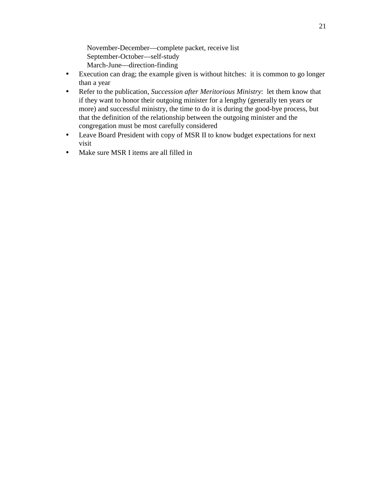November-December—complete packet, receive list September-October—self-study March-June—direction-finding

- Execution can drag; the example given is without hitches: it is common to go longer than a year
- Refer to the publication, *Succession after Meritorious Ministry*: let them know that if they want to honor their outgoing minister for a lengthy (generally ten years or more) and successful ministry, the time to do it is during the good-bye process, but that the definition of the relationship between the outgoing minister and the congregation must be most carefully considered
- Leave Board President with copy of MSR II to know budget expectations for next visit
- Make sure MSR I items are all filled in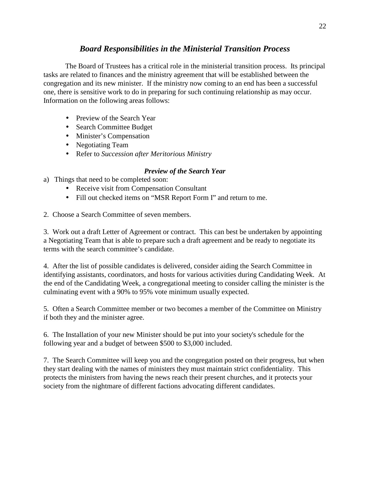# *Board Responsibilities in the Ministerial Transition Process*

 The Board of Trustees has a critical role in the ministerial transition process. Its principal tasks are related to finances and the ministry agreement that will be established between the congregation and its new minister. If the ministry now coming to an end has been a successful one, there is sensitive work to do in preparing for such continuing relationship as may occur. Information on the following areas follows:

- Preview of the Search Year
- Search Committee Budget
- Minister's Compensation
- Negotiating Team
- Refer to *Succession after Meritorious Ministry*

# *Preview of the Search Year*

- a) Things that need to be completed soon:
	- Receive visit from Compensation Consultant
	- Fill out checked items on "MSR Report Form I" and return to me.
- 2. Choose a Search Committee of seven members.

3. Work out a draft Letter of Agreement or contract. This can best be undertaken by appointing a Negotiating Team that is able to prepare such a draft agreement and be ready to negotiate its terms with the search committee's candidate.

4. After the list of possible candidates is delivered, consider aiding the Search Committee in identifying assistants, coordinators, and hosts for various activities during Candidating Week. At the end of the Candidating Week, a congregational meeting to consider calling the minister is the culminating event with a 90% to 95% vote minimum usually expected.

5. Often a Search Committee member or two becomes a member of the Committee on Ministry if both they and the minister agree.

6. The Installation of your new Minister should be put into your society's schedule for the following year and a budget of between \$500 to \$3,000 included.

7. The Search Committee will keep you and the congregation posted on their progress, but when they start dealing with the names of ministers they must maintain strict confidentiality. This protects the ministers from having the news reach their present churches, and it protects your society from the nightmare of different factions advocating different candidates.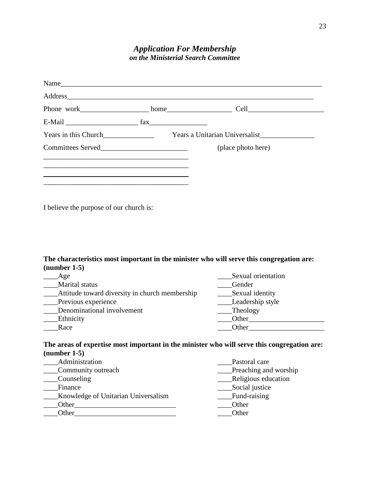# *Application For Membership on the Ministerial Search Committee*

| Name                 |                                |
|----------------------|--------------------------------|
| Address              |                                |
|                      |                                |
|                      |                                |
| Years in this Church | Years a Unitarian Universalist |
|                      | (place photo here)             |
|                      |                                |
|                      |                                |
|                      |                                |

I believe the purpose of our church is:

#### **The characteristics most important in the minister who will serve this congregation are: (number 1-5)**

| Age                                            | Sexual orientation |
|------------------------------------------------|--------------------|
| Marital status                                 | Gender             |
| Attitude toward diversity in church membership | Sexual identity    |
| Previous experience                            | Leadership style   |
| Denominational involvement                     | Theology           |
| Ethnicity                                      | Other              |
| Race                                           | Other              |

#### **The areas of expertise most important in the minister who will serve this congregation are: (number 1-5)**

| Administration                      | Pastoral care         |
|-------------------------------------|-----------------------|
| Community outreach                  | Preaching and worship |
| Counseling                          | Religious education   |
| Finance                             | Social justice        |
| Knowledge of Unitarian Universalism | Fund-raising          |
| Other                               | Other                 |
| Other                               | Other                 |
|                                     |                       |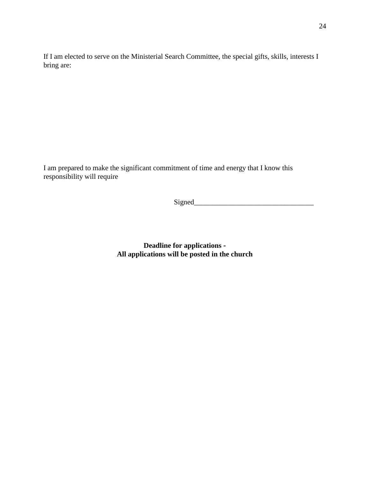If I am elected to serve on the Ministerial Search Committee, the special gifts, skills, interests I bring are:

I am prepared to make the significant commitment of time and energy that I know this responsibility will require

Signed\_\_\_\_\_\_\_\_\_\_\_\_\_\_\_\_\_\_\_\_\_\_\_\_\_\_\_\_\_\_\_\_\_

**Deadline for applications - All applications will be posted in the church**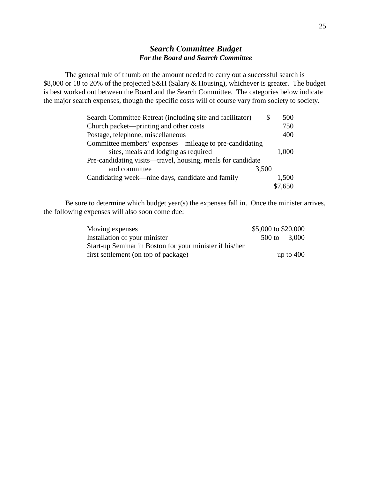# *Search Committee Budget For the Board and Search Committee*

 The general rule of thumb on the amount needed to carry out a successful search is \$8,000 or 18 to 20% of the projected S&H (Salary & Housing), whichever is greater. The budget is best worked out between the Board and the Search Committee. The categories below indicate the major search expenses, though the specific costs will of course vary from society to society.

| Search Committee Retreat (including site and facilitator)   |       | 500     |
|-------------------------------------------------------------|-------|---------|
| Church packet—printing and other costs                      |       | 750     |
| Postage, telephone, miscellaneous                           |       | 400     |
| Committee members' expenses—mileage to pre-candidating      |       |         |
| sites, meals and lodging as required                        |       | 1,000   |
| Pre-candidating visits—travel, housing, meals for candidate |       |         |
| and committee                                               | 3,500 |         |
| Candidating week—nine days, candidate and family            |       | 1,500   |
|                                                             |       | \$7,650 |

 Be sure to determine which budget year(s) the expenses fall in. Once the minister arrives, the following expenses will also soon come due:

| Moving expenses                                         | \$5,000 to \$20,000 |             |
|---------------------------------------------------------|---------------------|-------------|
| Installation of your minister                           | 500 to              | 3,000       |
| Start-up Seminar in Boston for your minister if his/her |                     |             |
| first settlement (on top of package)                    |                     | up to $400$ |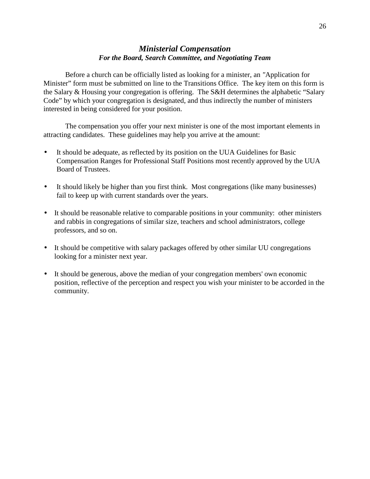# *Ministerial Compensation For the Board, Search Committee, and Negotiating Team*

Before a church can be officially listed as looking for a minister, an *"*Application for Minister" form must be submitted on line to the Transitions Office. The key item on this form is the Salary & Housing your congregation is offering. The S&H determines the alphabetic "Salary" Code" by which your congregation is designated, and thus indirectly the number of ministers interested in being considered for your position.

The compensation you offer your next minister is one of the most important elements in attracting candidates. These guidelines may help you arrive at the amount:

- It should be adequate, as reflected by its position on the UUA Guidelines for Basic Compensation Ranges for Professional Staff Positions most recently approved by the UUA Board of Trustees.
- It should likely be higher than you first think. Most congregations (like many businesses) fail to keep up with current standards over the years.
- It should be reasonable relative to comparable positions in your community: other ministers and rabbis in congregations of similar size, teachers and school administrators, college professors, and so on.
- It should be competitive with salary packages offered by other similar UU congregations looking for a minister next year.
- It should be generous, above the median of your congregation members' own economic position, reflective of the perception and respect you wish your minister to be accorded in the community.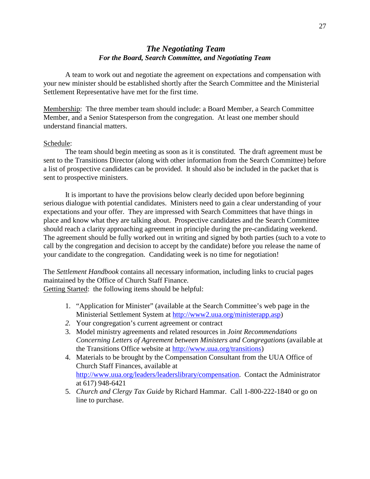# *The Negotiating Team For the Board, Search Committee, and Negotiating Team*

 A team to work out and negotiate the agreement on expectations and compensation with your new minister should be established shortly after the Search Committee and the Ministerial Settlement Representative have met for the first time.

Membership: The three member team should include: a Board Member, a Search Committee Member, and a Senior Statesperson from the congregation. At least one member should understand financial matters.

#### Schedule:

 The team should begin meeting as soon as it is constituted. The draft agreement must be sent to the Transitions Director (along with other information from the Search Committee) before a list of prospective candidates can be provided. It should also be included in the packet that is sent to prospective ministers.

 It is important to have the provisions below clearly decided upon before beginning serious dialogue with potential candidates. Ministers need to gain a clear understanding of your expectations and your offer. They are impressed with Search Committees that have things in place and know what they are talking about. Prospective candidates and the Search Committee should reach a clarity approaching agreement in principle during the pre-candidating weekend. The agreement should be fully worked out in writing and signed by both parties (such to a vote to call by the congregation and decision to accept by the candidate) before you release the name of your candidate to the congregation. Candidating week is no time for negotiation!

The *Settlement Handbook* contains all necessary information, including links to crucial pages maintained by the Office of Church Staff Finance.

Getting Started: the following items should be helpful:

- 1. "Application for Minister" (available at the Search Committee's web page in the Ministerial Settlement System at http://www2.uua.org/ministerapp.asp)
- *2.* Your congregation's current agreement or contract
- 3. Model ministry agreements and related resources in *Joint Recommendations Concerning Letters of Agreement between Ministers and Congregations* (available at the Transitions Office website at http://www.uua.org/transitions)
- 4. Materials to be brought by the Compensation Consultant from the UUA Office of Church Staff Finances, available at http://www.uua.org/leaders/leaderslibrary/compensation. Contact the Administrator at 617) 948-6421
- 5. *Church and Clergy Tax Guide* by Richard Hammar. Call 1-800-222-1840 or go on line to purchase.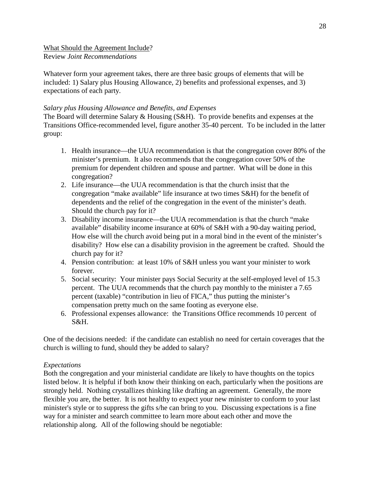What Should the Agreement Include? Review *Joint Recommendations*

Whatever form your agreement takes, there are three basic groups of elements that will be included: 1) Salary plus Housing Allowance, 2) benefits and professional expenses, and 3) expectations of each party.

#### *Salary plus Housing Allowance and Benefits, and Expenses*

The Board will determine Salary & Housing (S&H). To provide benefits and expenses at the Transitions Office-recommended level, figure another 35-40 percent. To be included in the latter group:

- 1. Health insurance—the UUA recommendation is that the congregation cover 80% of the minister's premium. It also recommends that the congregation cover 50% of the premium for dependent children and spouse and partner. What will be done in this congregation?
- 2. Life insurance—the UUA recommendation is that the church insist that the congregation "make available" life insurance at two times S&H) for the benefit of dependents and the relief of the congregation in the event of the minister's death. Should the church pay for it?
- 3. Disability income insurance—the UUA recommendation is that the church "make available" disability income insurance at 60% of S&H with a 90-day waiting period, How else will the church avoid being put in a moral bind in the event of the minister's disability? How else can a disability provision in the agreement be crafted. Should the church pay for it?
- 4. Pension contribution: at least 10% of S&H unless you want your minister to work forever.
- 5. Social security: Your minister pays Social Security at the self-employed level of 15.3 percent. The UUA recommends that the church pay monthly to the minister a 7.65 percent (taxable) "contribution in lieu of FICA," thus putting the minister's compensation pretty much on the same footing as everyone else.
- 6. Professional expenses allowance: the Transitions Office recommends 10 percent of S&H.

One of the decisions needed: if the candidate can establish no need for certain coverages that the church is willing to fund, should they be added to salary?

#### *Expectations*

Both the congregation and your ministerial candidate are likely to have thoughts on the topics listed below. It is helpful if both know their thinking on each, particularly when the positions are strongly held. Nothing crystallizes thinking like drafting an agreement. Generally, the more flexible you are, the better. It is not healthy to expect your new minister to conform to your last minister's style or to suppress the gifts s/he can bring to you. Discussing expectations is a fine way for a minister and search committee to learn more about each other and move the relationship along. All of the following should be negotiable: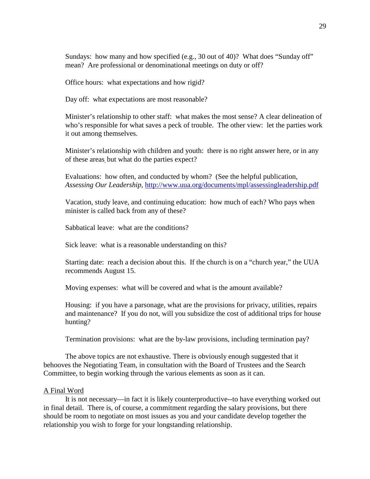Sundays: how many and how specified (e.g., 30 out of 40)? What does "Sunday off" mean? Are professional or denominational meetings on duty or off?

Office hours: what expectations and how rigid?

Day off: what expectations are most reasonable?

Minister's relationship to other staff: what makes the most sense? A clear delineation of who's responsible for what saves a peck of trouble. The other view: let the parties work it out among themselves.

Minister's relationship with children and youth: there is no right answer here, or in any of these areas, but what do the parties expect?

Evaluations: how often, and conducted by whom? (See the helpful publication, *Assessing Our Leadership*, http://www.uua.org/documents/mpl/assessingleadership.pdf

Vacation, study leave, and continuing education: how much of each? Who pays when minister is called back from any of these?

Sabbatical leave: what are the conditions?

Sick leave: what is a reasonable understanding on this?

Starting date: reach a decision about this. If the church is on a "church year," the UUA recommends August 15.

Moving expenses: what will be covered and what is the amount available?

Housing: if you have a parsonage, what are the provisions for privacy, utilities, repairs and maintenance? If you do not, will you subsidize the cost of additional trips for house hunting?

Termination provisions: what are the by-law provisions, including termination pay?

 The above topics are not exhaustive. There is obviously enough suggested that it behooves the Negotiating Team, in consultation with the Board of Trustees and the Search Committee, to begin working through the various elements as soon as it can.

#### A Final Word

 It is not necessary—in fact it is likely counterproductive--to have everything worked out in final detail. There is, of course, a commitment regarding the salary provisions, but there should be room to negotiate on most issues as you and your candidate develop together the relationship you wish to forge for your longstanding relationship.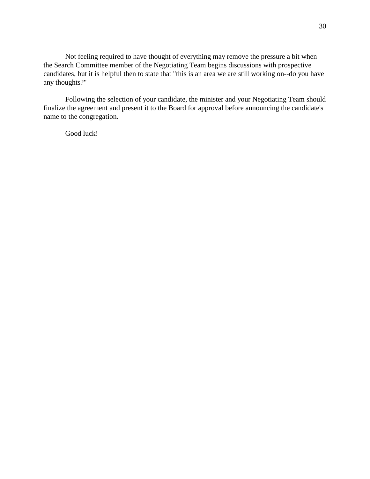Not feeling required to have thought of everything may remove the pressure a bit when the Search Committee member of the Negotiating Team begins discussions with prospective candidates, but it is helpful then to state that "this is an area we are still working on--do you have any thoughts?"

 Following the selection of your candidate, the minister and your Negotiating Team should finalize the agreement and present it to the Board for approval before announcing the candidate's name to the congregation.

Good luck!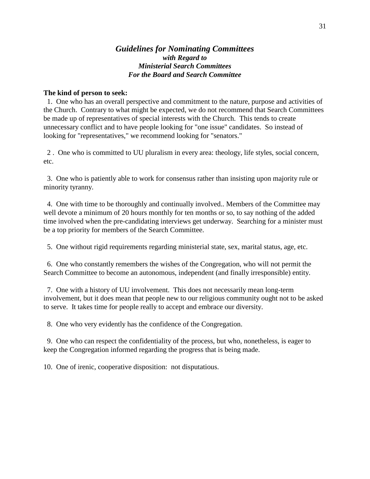#### *Guidelines for Nominating Committees with Regard to Ministerial Search Committees For the Board and Search Committee*

#### **The kind of person to seek:**

 1. One who has an overall perspective and commitment to the nature, purpose and activities of the Church. Contrary to what might be expected, we do not recommend that Search Committees be made up of representatives of special interests with the Church. This tends to create unnecessary conflict and to have people looking for "one issue" candidates. So instead of looking for "representatives," we recommend looking for "senators."

 2 . One who is committed to UU pluralism in every area: theology, life styles, social concern, etc.

 3. One who is patiently able to work for consensus rather than insisting upon majority rule or minority tyranny.

 4. One with time to be thoroughly and continually involved.. Members of the Committee may well devote a minimum of 20 hours monthly for ten months or so, to say nothing of the added time involved when the pre-candidating interviews get underway. Searching for a minister must be a top priority for members of the Search Committee.

5. One without rigid requirements regarding ministerial state, sex, marital status, age, etc.

 6. One who constantly remembers the wishes of the Congregation, who will not permit the Search Committee to become an autonomous, independent (and finally irresponsible) entity.

 7. One with a history of UU involvement. This does not necessarily mean long-term involvement, but it does mean that people new to our religious community ought not to be asked to serve. It takes time for people really to accept and embrace our diversity.

8. One who very evidently has the confidence of the Congregation.

 9. One who can respect the confidentiality of the process, but who, nonetheless, is eager to keep the Congregation informed regarding the progress that is being made.

10. One of irenic, cooperative disposition: not disputatious.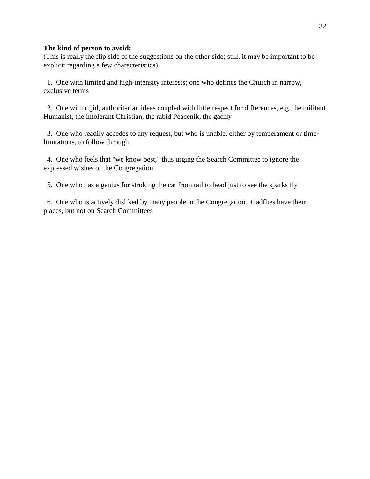#### **The kind of person to avoid:**

(This is really the flip side of the suggestions on the other side; still, it may be important to be explicit regarding a few characteristics)

 1. One with limited and high-intensity interests; one who defines the Church in narrow, exclusive terms

 2. One with rigid, authoritarian ideas coupled with little respect for differences, e.g. the militant Humanist, the intolerant Christian, the rabid Peacenik, the gadfly

 3. One who readily accedes to any request, but who is unable, either by temperament or timelimitations, to follow through

 4. One who feels that "we know best," thus urging the Search Committee to ignore the expressed wishes of the Congregation

5. One who has a genius for stroking the cat from tail to head just to see the sparks fly

 6. One who is actively disliked by many people in the Congregation. Gadflies have their places, but not on Search Committees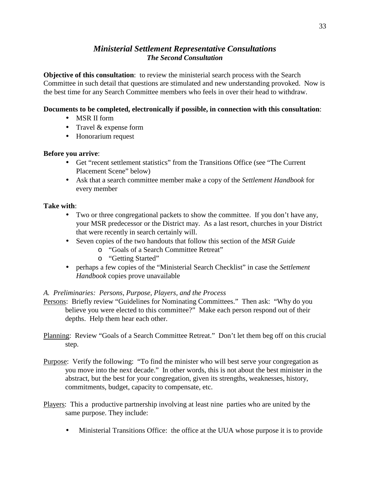# *Ministerial Settlement Representative Consultations The Second Consultation*

**Objective of this consultation**: to review the ministerial search process with the Search Committee in such detail that questions are stimulated and new understanding provoked. Now is the best time for any Search Committee members who feels in over their head to withdraw.

#### **Documents to be completed, electronically if possible, in connection with this consultation**:

- MSR II form
- Travel & expense form
- Honorarium request

#### **Before you arrive**:

- Get "recent settlement statistics" from the Transitions Office (see "The Current Placement Scene" below)
- Ask that a search committee member make a copy of the *Settlement Handbook* for every member

#### **Take with**:

- Two or three congregational packets to show the committee. If you don't have any, your MSR predecessor or the District may. As a last resort, churches in your District that were recently in search certainly will.
- Seven copies of the two handouts that follow this section of the *MSR Guide*
	- o "Goals of a Search Committee Retreat"
	- o "Getting Started"
- perhaps a few copies of the "Ministerial Search Checklist" in case the *Settlement Handbook* copies prove unavailable

#### *A. Preliminaries: Persons, Purpose, Players, and the Process*

- Persons: Briefly review "Guidelines for Nominating Committees." Then ask: "Why do you believe you were elected to this committee?" Make each person respond out of their depths. Help them hear each other.
- Planning: Review "Goals of a Search Committee Retreat." Don't let them beg off on this crucial step.
- Purpose: Verify the following: "To find the minister who will best serve your congregation as you move into the next decade." In other words, this is not about the best minister in the abstract, but the best for your congregation, given its strengths, weaknesses, history, commitments, budget, capacity to compensate, etc.
- Players: This a productive partnership involving at least nine parties who are united by the same purpose. They include:
	- Ministerial Transitions Office: the office at the UUA whose purpose it is to provide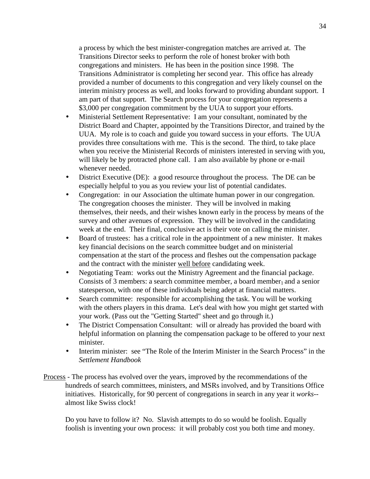a process by which the best minister-congregation matches are arrived at. The Transitions Director seeks to perform the role of honest broker with both congregations and ministers. He has been in the position since 1998. The Transitions Administrator is completing her second year. This office has already provided a number of documents to this congregation and very likely counsel on the interim ministry process as well, and looks forward to providing abundant support. I am part of that support. The Search process for your congregation represents a \$3,000 per congregation commitment by the UUA to support your efforts.

- Ministerial Settlement Representative: I am your consultant, nominated by the District Board and Chapter, appointed by the Transitions Director, and trained by the UUA. My role is to coach and guide you toward success in your efforts. The UUA provides three consultations with me. This is the second. The third, to take place when you receive the Ministerial Records of ministers interested in serving with you, will likely be by protracted phone call. I am also available by phone or e-mail whenever needed.
- District Executive (DE): a good resource throughout the process. The DE can be especially helpful to you as you review your list of potential candidates.
- Congregation: in our Association the ultimate human power in our congregation. The congregation chooses the minister. They will be involved in making themselves, their needs, and their wishes known early in the process by means of the survey and other avenues of expression. They will be involved in the candidating week at the end. Their final, conclusive act is their vote on calling the minister.
- Board of trustees: has a critical role in the appointment of a new minister. It makes key financial decisions on the search committee budget and on ministerial compensation at the start of the process and fleshes out the compensation package and the contract with the minister well before candidating week.
- Negotiating Team: works out the Ministry Agreement and the financial package. Consists of 3 members: a search committee member, a board member<sub>1</sub> and a senior statesperson, with one of these individuals being adept at financial matters.
- Search committee: responsible for accomplishing the task. You will be working with the others players in this drama. Let's deal with how you might get started with your work. (Pass out the "Getting Started" sheet and go through it.)
- The District Compensation Consultant: will or already has provided the board with helpful information on planning the compensation package to be offered to your next minister.
- Interim minister: see "The Role of the Interim Minister in the Search Process" in the *Settlement Handbook*
- Process The process has evolved over the years, improved by the recommendations of the hundreds of search committees, ministers, and MSRs involved, and by Transitions Office initiatives. Historically, for 90 percent of congregations in search in any year it *works*- almost like Swiss clock!

Do you have to follow it? No. Slavish attempts to do so would be foolish. Equally foolish is inventing your own process: it will probably cost you both time and money.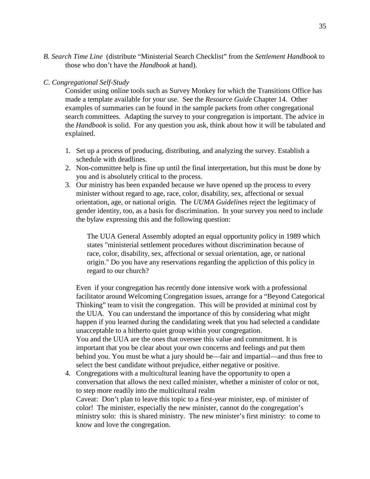*B. Search Time Line* (distribute "Ministerial Search Checklist" from the *Settlement Handbook* to those who don't have the *Handbook* at hand).

#### *C. Congregational Self-Study*

Consider using online tools such as Survey Monkey for which the Transitions Office has made a template available for your use. See the *Resource Guide* Chapter 14. Other examples of summaries can be found in the sample packets from other congregational search committees. Adapting the survey to your congregation is important. The advice in the *Handbook* is solid. For any question you ask, think about how it will be tabulated and explained.

- 1. Set up a process of producing, distributing, and analyzing the survey. Establish a schedule with deadlines.
- 2. Non-committee help is fine up until the final interpretation, but this must be done by you and is absolutely critical to the process.
- 3. Our ministry has been expanded because we have opened up the process to every minister without regard to age, race, color, disability, sex, affectional or sexual orientation, age, or national origin. The *UUMA Guidelines* reject the legitimacy of gender identity, too, as a basis for discrimination. In your survey you need to include the bylaw expressing this and the following question:

The UUA General Assembly adopted an equal opportunity policy in 1989 which states "ministerial settlement procedures without discrimination because of race, color, disability, sex, affectional or sexual orientation, age, or national origin." Do you have any reservations regarding the appliction of this policy in regard to our church?

Even if your congregation has recently done intensive work with a professional facilitator around Welcoming Congregation issues, arrange for a "Beyond Categorical Thinking" team to visit the congregation. This will be provided at minimal cost by the UUA. You can understand the importance of this by considering what might happen if you learned during the candidating week that you had selected a candidate unacceptable to a hitherto quiet group within your congregation. You and the UUA are the ones that oversee this value and commitment. It is important that you be clear about your own concerns and feelings and put them

behind you. You must be what a jury should be—fair and impartial—and thus free to select the best candidate without prejudice, either negative or positive. 4. Congregations with a multicultural leaning have the opportunity to open a conversation that allows the next called minister, whether a minister of color or not, to step more readily into the multicultural realm

Caveat: Don't plan to leave this topic to a first-year minister, esp. of minister of color! The minister, especially the new minister, cannot do the congregation's ministry solo: this is shared ministry. The new minister's first ministry: to come to know and love the congregation.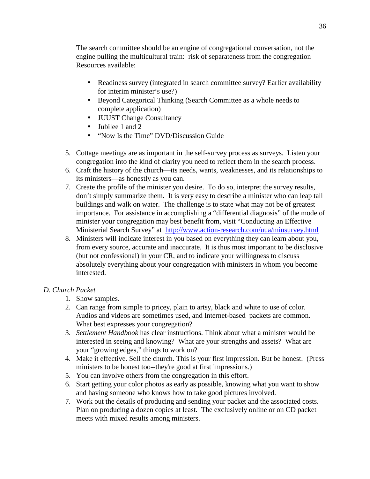The search committee should be an engine of congregational conversation, not the engine pulling the multicultural train: risk of separateness from the congregation Resources available:

- Readiness survey (integrated in search committee survey? Earlier availability for interim minister's use?)
- Beyond Categorical Thinking (Search Committee as a whole needs to complete application)
- JUUST Change Consultancy
- Jubilee 1 and 2
- "Now Is the Time" DVD/Discussion Guide
- 5. Cottage meetings are as important in the self-survey process as surveys. Listen your congregation into the kind of clarity you need to reflect them in the search process.
- 6. Craft the history of the church—its needs, wants, weaknesses, and its relationships to its ministers—as honestly as you can.
- 7. Create the profile of the minister you desire. To do so, interpret the survey results, don't simply summarize them. It is very easy to describe a minister who can leap tall buildings and walk on water. The challenge is to state what may not be of greatest importance. For assistance in accomplishing a "differential diagnosis" of the mode of minister your congregation may best benefit from, visit "Conducting an Effective Ministerial Search Survey" at http://www.action-research.com/uua/minsurvey.html
- 8. Ministers will indicate interest in you based on everything they can learn about you, from every source, accurate and inaccurate. It is thus most important to be disclosive (but not confessional) in your CR, and to indicate your willingness to discuss absolutely everything about your congregation with ministers in whom you become interested.

#### *D. Church Packet*

- 1. Show samples.
- 2. Can range from simple to pricey, plain to artsy, black and white to use of color. Audios and videos are sometimes used, and Internet-based packets are common. What best expresses your congregation?
- 3. *Settlement Handbook* has clear instructions. Think about what a minister would be interested in seeing and knowing? What are your strengths and assets? What are your "growing edges," things to work on?
- 4. Make it effective. Sell the church. This is your first impression. But be honest. (Press ministers to be honest too--they're good at first impressions.)
- 5. You can involve others from the congregation in this effort.
- 6. Start getting your color photos as early as possible, knowing what you want to show and having someone who knows how to take good pictures involved.
- 7. Work out the details of producing and sending your packet and the associated costs. Plan on producing a dozen copies at least. The exclusively online or on CD packet meets with mixed results among ministers.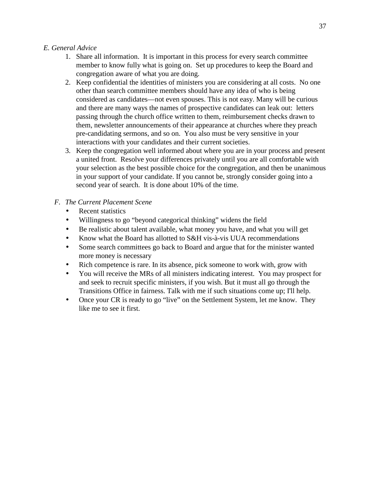#### *E. General Advice*

- 1. Share all information. It is important in this process for every search committee member to know fully what is going on. Set up procedures to keep the Board and congregation aware of what you are doing.
- 2. Keep confidential the identities of ministers you are considering at all costs. No one other than search committee members should have any idea of who is being considered as candidates—not even spouses. This is not easy. Many will be curious and there are many ways the names of prospective candidates can leak out: letters passing through the church office written to them, reimbursement checks drawn to them, newsletter announcements of their appearance at churches where they preach pre-candidating sermons, and so on. You also must be very sensitive in your interactions with your candidates and their current societies.
- 3. Keep the congregation well informed about where you are in your process and present a united front. Resolve your differences privately until you are all comfortable with your selection as the best possible choice for the congregation, and then be unanimous in your support of your candidate. If you cannot be, strongly consider going into a second year of search. It is done about 10% of the time.
- *F. The Current Placement Scene* 
	- Recent statistics
	- Willingness to go "beyond categorical thinking" widens the field
	- Be realistic about talent available, what money you have, and what you will get
	- Know what the Board has allotted to S&H vis-à-vis UUA recommendations
	- Some search committees go back to Board and argue that for the minister wanted more money is necessary
	- Rich competence is rare. In its absence, pick someone to work with, grow with
	- You will receive the MRs of all ministers indicating interest. You may prospect for and seek to recruit specific ministers, if you wish. But it must all go through the Transitions Office in fairness. Talk with me if such situations come up; I'll help.
	- Once your CR is ready to go "live" on the Settlement System, let me know. They like me to see it first.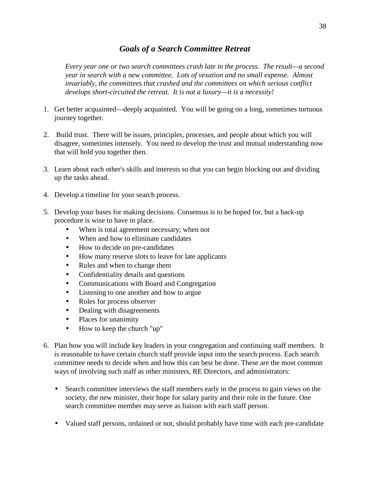# *Goals of a Search Committee Retreat*

*Every year one or two search committees crash late in the process. The result—a second year in search with a new committee. Lots of vexation and no small expense. Almost invariably, the committees that crashed and the committees on which serious conflict develops short-circuited the retreat. It is not a luxury—it is a necessity!* 

- 1. Get better acquainted—deeply acquainted. You will be going on a long, sometimes tortuous journey together.
- 2. Build trust. There will be issues, principles, processes, and people about which you will disagree, sometimes intensely. You need to develop the trust and mutual understanding now that will hold you together then.
- 3. Learn about each other's skills and interests so that you can begin blocking out and dividing up the tasks ahead.
- 4. Develop a timeline for your search process.
- 5. Develop your bases for making decisions. Consensus is to be hoped for, but a back-up procedure is wise to have in place.
	- When is total agreement necessary; when not
	- When and how to eliminate candidates
	- How to decide on pre-candidates
	- How many reserve slots to leave for late applicants
	- Rules and when to change them
	- Confidentiality details and questions
	- Communications with Board and Congregation
	- Listening to one another and how to argue
	- Roles for process observer
	- Dealing with disagreements
	- Places for unanimity
	- How to keep the church "up"
- 6. Plan how you will include key leaders in your congregation and continuing staff members. It is reasonable to have certain church staff provide input into the search process. Each search committee needs to decide when and how this can best be done. These are the most common ways of involving such staff as other ministers, RE Directors, and administrators:
	- Search committee interviews the staff members early in the process to gain views on the society, the new minister, their hope for salary parity and their role in the future. One search committee member may serve as liaison with each staff person.
	- Valued staff persons, ordained or not, should probably have time with each pre-candidate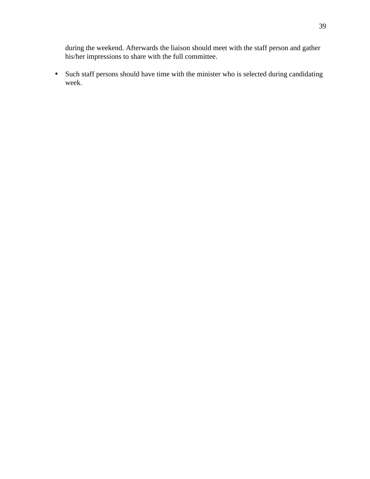during the weekend. Afterwards the liaison should meet with the staff person and gather his/her impressions to share with the full committee.

• Such staff persons should have time with the minister who is selected during candidating week.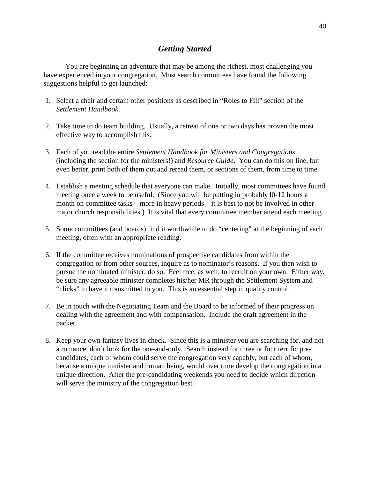# *Getting Started*

 You are beginning an adventure that may be among the richest, most challenging you have experienced in your congregation. Most search committees have found the following suggestions helpful to get launched:

- 1. Select a chair and certain other positions as described in "Roles to Fill" section of the *Settlement Handbook*.
- 2. Take time to do team building. Usually, a retreat of one or two days has proven the most effective way to accomplish this.
- 3. Each of you read the entire *Settlement Handbook for Ministers and Congregations* (including the section for the ministers!) and *Resource Guide*. You can do this on line, but even better, print both of them out and reread them, or sections of them, from time to time.
- 4. Establish a meeting schedule that everyone can make. Initially, most committees have found meeting once a week to be useful. (Since you will be putting in probably l0-12 hours a month on committee tasks—more in heavy periods—it is best to not be involved in other major church responsibilities.) It is vital that every committee member attend each meeting.
- 5. Some committees (and boards) find it worthwhile to do "centering" at the beginning of each meeting, often with an appropriate reading.
- 6. If the committee receives nominations of prospective candidates from within the congregation or from other sources, inquire as to nominator's reasons. If you then wish to pursue the nominated minister, do so. Feel free, as well, to recruit on your own. Either way, be sure any agreeable minister completes his/her MR through the Settlement System and "clicks" to have it transmitted to you. This is an essential step in quality control.
- 7. Be in touch with the Negotiating Team and the Board to be informed of their progress on dealing with the agreement and with compensation. Include the draft agreement in the packet.
- 8. Keep your own fantasy lives in check. Since this is a minister you are searching for, and not a romance, don't look for the one-and-only. Search instead for three or four terrific precandidates, each of whom could serve the congregation very capably, but each of whom, because a unique minister and human being, would over time develop the congregation in a unique direction. After the pre-candidating weekends you need to decide which direction will serve the ministry of the congregation best.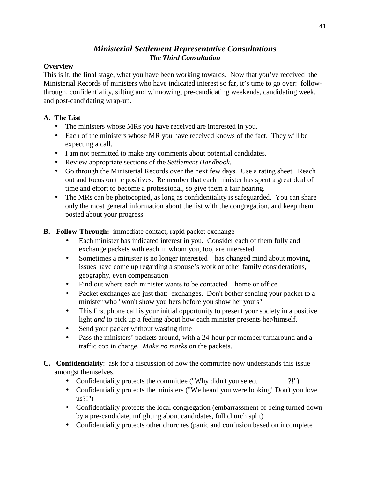# *Ministerial Settlement Representative Consultations The Third Consultation*

#### **Overview**

This is it, the final stage, what you have been working towards. Now that you've received the Ministerial Records of ministers who have indicated interest so far, it's time to go over: followthrough, confidentiality, sifting and winnowing, pre-candidating weekends, candidating week, and post-candidating wrap-up.

# **A. The List**

- The ministers whose MRs you have received are interested in you.
- Each of the ministers whose MR you have received knows of the fact. They will be expecting a call.
- I am not permitted to make any comments about potential candidates.
- Review appropriate sections of the *Settlement Handbook*.
- Go through the Ministerial Records over the next few days. Use a rating sheet. Reach out and focus on the positives. Remember that each minister has spent a great deal of time and effort to become a professional, so give them a fair hearing.
- The MRs can be photocopied, as long as confidentiality is safeguarded. You can share only the most general information about the list with the congregation, and keep them posted about your progress.

# **B. Follow-Through:** immediate contact, rapid packet exchange

- Each minister has indicated interest in you. Consider each of them fully and exchange packets with each in whom you, too, are interested
- Sometimes a minister is no longer interested—has changed mind about moving, issues have come up regarding a spouse's work or other family considerations, geography, even compensation
- Find out where each minister wants to be contacted—home or office
- Packet exchanges are just that: exchanges. Don't bother sending your packet to a minister who "won't show you hers before you show her yours"
- This first phone call is your initial opportunity to present your society in a positive light *and* to pick up a feeling about how each minister presents her/himself.
- Send your packet without wasting time
- Pass the ministers' packets around, with a 24-hour per member turnaround and a traffic cop in charge. *Make no marks* on the packets.
- **C. Confidentiality**: ask for a discussion of how the committee now understands this issue amongst themselves.
	- Confidentiality protects the committee ("Why didn't you select \_\_\_\_\_\_\_\_?!")
	- Confidentiality protects the ministers ("We heard you were looking! Don't you love us?!")
	- Confidentiality protects the local congregation (embarrassment of being turned down by a pre-candidate, infighting about candidates, full church split)
	- Confidentiality protects other churches (panic and confusion based on incomplete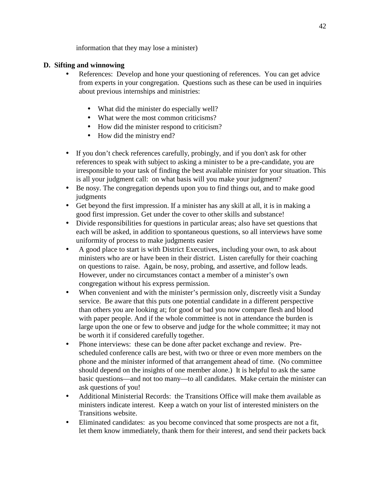information that they may lose a minister)

# **D. Sifting and winnowing**

- References: Develop and hone your questioning of references. You can get advice from experts in your congregation. Questions such as these can be used in inquiries about previous internships and ministries:
	- What did the minister do especially well?
	- What were the most common criticisms?
	- How did the minister respond to criticism?
	- How did the ministry end?
- If you don't check references carefully, probingly, and if you don't ask for other references to speak with subject to asking a minister to be a pre-candidate, you are irresponsible to your task of finding the best available minister for your situation. This is all your judgment call: on what basis will you make your judgment?
- Be nosy. The congregation depends upon you to find things out, and to make good judgments
- Get beyond the first impression. If a minister has any skill at all, it is in making a good first impression. Get under the cover to other skills and substance!
- Divide responsibilities for questions in particular areas; also have set questions that each will be asked, in addition to spontaneous questions, so all interviews have some uniformity of process to make judgments easier
- A good place to start is with District Executives, including your own, to ask about ministers who are or have been in their district. Listen carefully for their coaching on questions to raise. Again, be nosy, probing, and assertive, and follow leads. However, under no circumstances contact a member of a minister's own congregation without his express permission.
- When convenient and with the minister's permission only, discreetly visit a Sunday service. Be aware that this puts one potential candidate in a different perspective than others you are looking at; for good or bad you now compare flesh and blood with paper people. And if the whole committee is not in attendance the burden is large upon the one or few to observe and judge for the whole committee; it may not be worth it if considered carefully together.
- Phone interviews: these can be done after packet exchange and review. Prescheduled conference calls are best, with two or three or even more members on the phone and the minister informed of that arrangement ahead of time. (No committee should depend on the insights of one member alone.) It is helpful to ask the same basic questions—and not too many—to all candidates. Make certain the minister can ask questions of you!
- Additional Ministerial Records: the Transitions Office will make them available as ministers indicate interest. Keep a watch on your list of interested ministers on the Transitions website.
- Eliminated candidates: as you become convinced that some prospects are not a fit, let them know immediately, thank them for their interest, and send their packets back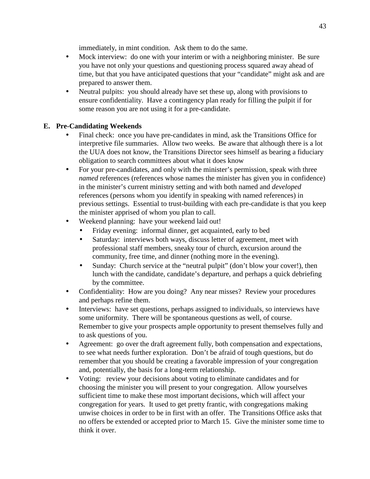immediately, in mint condition. Ask them to do the same.

- Mock interview: do one with your interim or with a neighboring minister. Be sure you have not only your questions and questioning process squared away ahead of time, but that you have anticipated questions that your "candidate" might ask and are prepared to answer them.
- Neutral pulpits: you should already have set these up, along with provisions to ensure confidentiality. Have a contingency plan ready for filling the pulpit if for some reason you are not using it for a pre-candidate.

# **E. Pre-Candidating Weekends**

- Final check: once you have pre-candidates in mind, ask the Transitions Office for interpretive file summaries. Allow two weeks. Be aware that although there is a lot the UUA does not know, the Transitions Director sees himself as bearing a fiduciary obligation to search committees about what it does know
- For your pre-candidates, and only with the minister's permission, speak with three *named* references (references whose names the minister has given you in confidence) in the minister's current ministry setting and with both named and *developed* references (persons whom you identify in speaking with named references) in previous settings. Essential to trust-building with each pre-candidate is that you keep the minister apprised of whom you plan to call.
- Weekend planning: have your weekend laid out!
	- Friday evening: informal dinner, get acquainted, early to bed
	- Saturday: interviews both ways, discuss letter of agreement, meet with professional staff members, sneaky tour of church, excursion around the community, free time, and dinner (nothing more in the evening).
	- Sunday: Church service at the "neutral pulpit" (don't blow your cover!), then lunch with the candidate, candidate's departure, and perhaps a quick debriefing by the committee.
- Confidentiality: How are you doing? Any near misses? Review your procedures and perhaps refine them.
- Interviews: have set questions, perhaps assigned to individuals, so interviews have some uniformity. There will be spontaneous questions as well, of course. Remember to give your prospects ample opportunity to present themselves fully and to ask questions of you.
- Agreement: go over the draft agreement fully, both compensation and expectations, to see what needs further exploration. Don't be afraid of tough questions, but do remember that you should be creating a favorable impression of your congregation and, potentially, the basis for a long-term relationship.
- Voting: review your decisions about voting to eliminate candidates and for choosing the minister you will present to your congregation. Allow yourselves sufficient time to make these most important decisions, which will affect your congregation for years. It used to get pretty frantic, with congregations making unwise choices in order to be in first with an offer. The Transitions Office asks that no offers be extended or accepted prior to March 15. Give the minister some time to think it over.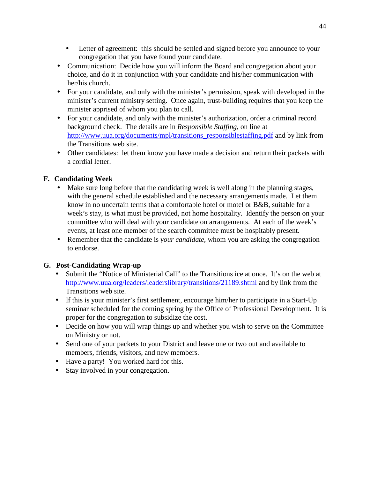- Letter of agreement: this should be settled and signed before you announce to your congregation that you have found your candidate.
- Communication: Decide how you will inform the Board and congregation about your choice, and do it in conjunction with your candidate and his/her communication with her/his church.
- For your candidate, and only with the minister's permission, speak with developed in the minister's current ministry setting. Once again, trust-building requires that you keep the minister apprised of whom you plan to call.
- For your candidate, and only with the minister's authorization, order a criminal record background check. The details are in *Responsible Staffing*, on line at http://www.uua.org/documents/mpl/transitions\_responsiblestaffing.pdf and by link from the Transitions web site.
- Other candidates: let them know you have made a decision and return their packets with a cordial letter.

# **F. Candidating Week**

- Make sure long before that the candidating week is well along in the planning stages, with the general schedule established and the necessary arrangements made. Let them know in no uncertain terms that a comfortable hotel or motel or B&B, suitable for a week's stay, is what must be provided, not home hospitality. Identify the person on your committee who will deal with your candidate on arrangements. At each of the week's events, at least one member of the search committee must be hospitably present.
- Remember that the candidate is *your candidate*, whom you are asking the congregation to endorse.

# **G. Post-Candidating Wrap-up**

- Submit the "Notice of Ministerial Call" to the Transitions ice at once. It's on the web at http://www.uua.org/leaders/leaderslibrary/transitions/21189.shtml and by link from the Transitions web site.
- If this is your minister's first settlement, encourage him/her to participate in a Start-Up seminar scheduled for the coming spring by the Office of Professional Development. It is proper for the congregation to subsidize the cost.
- Decide on how you will wrap things up and whether you wish to serve on the Committee on Ministry or not.
- Send one of your packets to your District and leave one or two out and available to members, friends, visitors, and new members.
- Have a party! You worked hard for this.
- Stay involved in your congregation.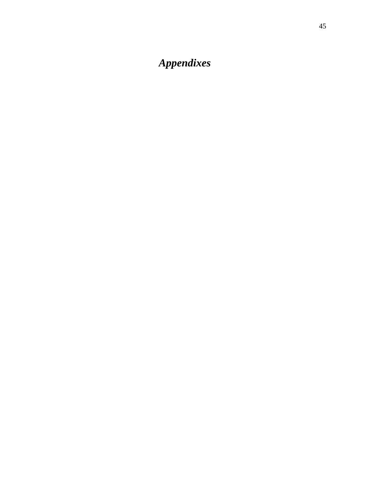# *Appendixes*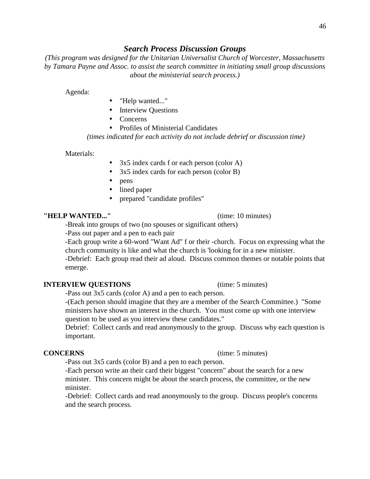#### *Search Process Discussion Groups*

*(This program was designed for the Unitarian Universalist Church of Worcester, Massachusetts by Tamara Payne and Assoc. to assist the search committee in initiating small group discussions about the ministerial search process.)* 

Agenda:

- "Help wanted..."
- Interview Questions
- Concerns
- Profiles of Ministerial Candidates

*(times indicated for each activity do not include debrief or discussion time)* 

Materials:

- 3x5 index cards f or each person (color A)
- 3x5 index cards for each person (color B)
- pens
- lined paper
- prepared "candidate profiles"

#### **"HELP WANTED..."** (time: 10 minutes)

-Break into groups of two (no spouses or significant others)

-Pass out paper and a pen to each pair

 -Each group write a 60-word "Want Ad" f or their -church. Focus on expressing what the church community is like and what the church is 'looking for in a new minister.

 -Debrief: Each group read their ad aloud. Discuss common themes or notable points that emerge.

#### **INTERVIEW QUESTIONS** (time: 5 minutes)

-Pass out 3x5 cards (color A) and a pen to each person.

 -(Each person should imagine that they are a member of the Search Committee.) "Some ministers have shown an interest in the church. You must come up with one interview question to be used as you interview these candidates."

 Debrief: Collect cards and read anonymously to the group. Discuss why each question is important.

-Pass out 3x5 cards (color B) and a pen to each person.

 -Each person write an their card their biggest "concern" about the search for a new minister. This concern might be about the search process, the committee, or the new minister.

 -Debrief: Collect cards and read anonymously to the group. Discuss people's concerns and the search process.

#### **CONCERNS** (time: 5 minutes)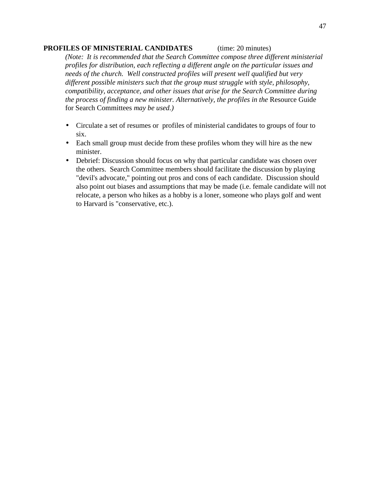#### **PROFILES OF MINISTERIAL CANDIDATES** (time: 20 minutes)

*(Note: It is recommended that the Search Committee compose three different ministerial profiles for distribution, each reflecting a different angle on the particular issues and needs of the church. Well constructed profiles will present well qualified but very different possible ministers such that the group must struggle with style, philosophy, compatibility, acceptance, and other issues that arise for the Search Committee during the process of finding a new minister. Alternatively, the profiles in the* Resource Guide for Search Committees *may be used.)* 

- Circulate a set of resumes or profiles of ministerial candidates to groups of four to six.
- Each small group must decide from these profiles whom they will hire as the new minister.
- Debrief: Discussion should focus on why that particular candidate was chosen over the others. Search Committee members should facilitate the discussion by playing "devil's advocate," pointing out pros and cons of each candidate. Discussion should also point out biases and assumptions that may be made (i.e. female candidate will not relocate, a person who hikes as a hobby is a loner, someone who plays golf and went to Harvard is "conservative, etc.).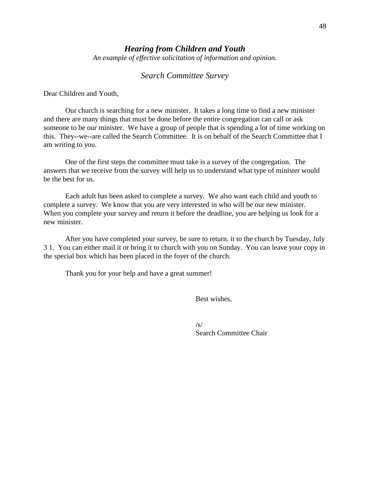#### *Hearing from Children and Youth*

*An example of effective solicitation of information and opinion.* 

#### *Search Committee Survey*

Dear Children and Youth,

 Our church is searching for a new minister. It takes a long time to find a new minister and there are many things that must be done before the entire congregation can call or ask someone to be our minister. We have a group of people that is spending a lot of time working on this. They--we--are called the Search Committee. It is on behalf of the Search Committee that I am writing to you.

 One of the first steps the committee must take is a survey of the congregation. The answers that we receive from the survey will help us to understand what type of minister would be the best for us.

 Each adult has been asked to complete a survey. We also want each child and youth to complete a survey. We know that you are very interested in who will be our new minister. When you complete your survey and return it before the deadline, you are helping us look for a new minister.

 After you have completed your survey, be sure to return. it to the church by Tuesday, July 3 1. You can either mail it or bring it to church with you on Sunday. You can leave your copy in the special box which has been placed in the foyer of the church.

Thank you for your help and have a great summer!

Best wishes,

 $\sqrt{s/2}$ Search Committee Chair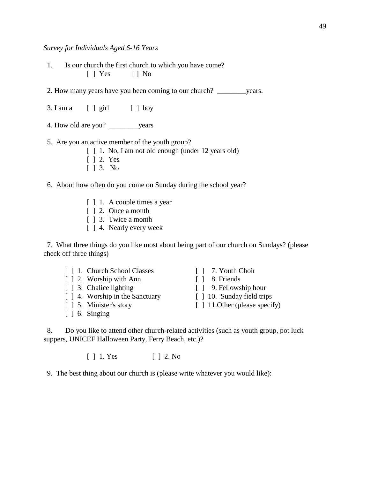*Survey for Individuals Aged 6-16 Years* 

 1. Is our church the first church to which you have come?  $[ ]$  Yes  $[ ]$  No

2. How many years have you been coming to our church? \_\_\_\_\_\_\_\_years.

- $3.$  I am a  $\left[\begin{array}{ccc} 1 & \text{airl} \\ 1 & \text{barl} \end{array}\right]$  boy
- 4. How old are you? \_\_\_\_\_\_\_\_years

5. Are you an active member of the youth group?

- [  $\vert$  1. No, I am not old enough (under 12 years old)
- [ ] 2. Yes
- [ ] 3. No
- 6. About how often do you come on Sunday during the school year?
	- [ ] 1. A couple times a year
	- [  $\vert$  2. Once a month
	- [ ] 3. Twice a month
	- [ ] 4. Nearly every week

 7. What three things do you like most about being part of our church on Sundays? (please check off three things)

- [ ] 1. Church School Classes [ ] 7. Youth Choir
- [ ] 2. Worship with Ann [ ] 8. Friends
- 
- [ ] 4. Worship in the Sanctuary [ ] 10. Sunday field trips
- 
- $\lceil$  1 6. Singing
- 
- 
- [ ] 3. Chalice lighting [ ] 9. Fellowship hour
	-
- [ ] 5. Minister's story [ ] 11.Other (please specify)

 8. Do you like to attend other church-related activities (such as youth group, pot luck suppers, UNICEF Halloween Party, Ferry Beach, etc.)?

[ ] 1. Yes [ ] 2. No

9. The best thing about our church is (please write whatever you would like):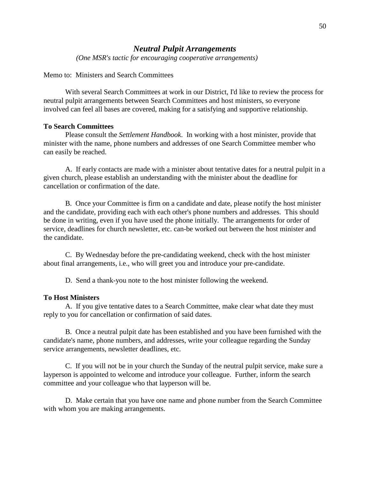#### *Neutral Pulpit Arrangements*

*(One MSR's tactic for encouraging cooperative arrangements)* 

#### Memo to: Ministers and Search Committees

 With several Search Committees at work in our District, I'd like to review the process for neutral pulpit arrangements between Search Committees and host ministers, so everyone involved can feel all bases are covered, making for a satisfying and supportive relationship.

#### **To Search Committees**

 Please consult the *Settlement Handbook*. In working with a host minister, provide that minister with the name, phone numbers and addresses of one Search Committee member who can easily be reached.

 A. If early contacts are made with a minister about tentative dates for a neutral pulpit in a given church, please establish an understanding with the minister about the deadline for cancellation or confirmation of the date.

 B. Once your Committee is firm on a candidate and date, please notify the host minister and the candidate, providing each with each other's phone numbers and addresses. This should be done in writing, even if you have used the phone initially. The arrangements for order of service, deadlines for church newsletter, etc. can-be worked out between the host minister and the candidate.

 C. By Wednesday before the pre-candidating weekend, check with the host minister about final arrangements, i.e., who will greet you and introduce your pre-candidate.

D. Send a thank-you note to the host minister following the weekend.

#### **To Host Ministers**

 A. If you give tentative dates to a Search Committee, make clear what date they must reply to you for cancellation or confirmation of said dates.

 B. Once a neutral pulpit date has been established and you have been furnished with the candidate's name, phone numbers, and addresses, write your colleague regarding the Sunday service arrangements, newsletter deadlines, etc.

 C. If you will not be in your church the Sunday of the neutral pulpit service, make sure a layperson is appointed to welcome and introduce your colleague. Further, inform the search committee and your colleague who that layperson will be.

 D. Make certain that you have one name and phone number from the Search Committee with whom you are making arrangements.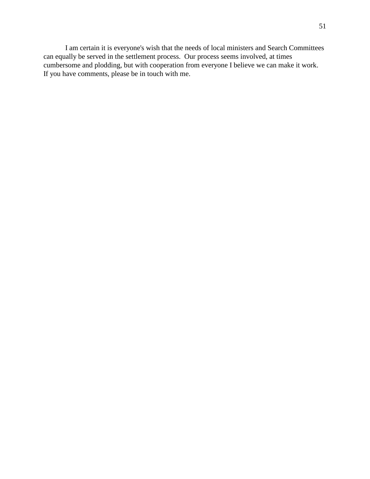I am certain it is everyone's wish that the needs of local ministers and Search Committees can equally be served in the settlement process. Our process seems involved, at times cumbersome and plodding, but with cooperation from everyone I believe we can make it work. If you have comments, please be in touch with me.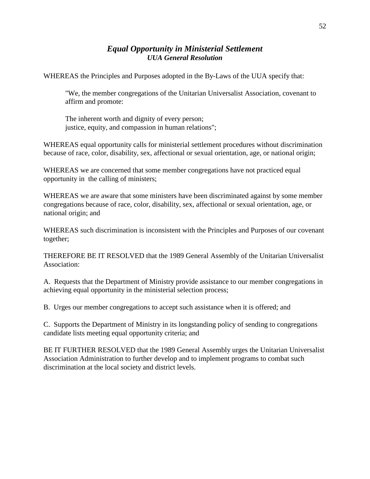# *Equal Opportunity in Ministerial Settlement UUA General Resolution*

WHEREAS the Principles and Purposes adopted in the By-Laws of the UUA specify that:

 "We, the member congregations of the Unitarian Universalist Association, covenant to affirm and promote:

 The inherent worth and dignity of every person; justice, equity, and compassion in human relations";

WHEREAS equal opportunity calls for ministerial settlement procedures without discrimination because of race, color, disability, sex, affectional or sexual orientation, age, or national origin;

WHEREAS we are concerned that some member congregations have not practiced equal opportunity in the calling of ministers;

WHEREAS we are aware that some ministers have been discriminated against by some member congregations because of race, color, disability, sex, affectional or sexual orientation, age, or national origin; and

WHEREAS such discrimination is inconsistent with the Principles and Purposes of our covenant together;

THEREFORE BE IT RESOLVED that the 1989 General Assembly of the Unitarian Universalist Association:

A. Requests that the Department of Ministry provide assistance to our member congregations in achieving equal opportunity in the ministerial selection process;

B. Urges our member congregations to accept such assistance when it is offered; and

C. Supports the Department of Ministry in its longstanding policy of sending to congregations candidate lists meeting equal opportunity criteria; and

BE IT FURTHER RESOLVED that the 1989 General Assembly urges the Unitarian Universalist Association Administration to further develop and to implement programs to combat such discrimination at the local society and district levels.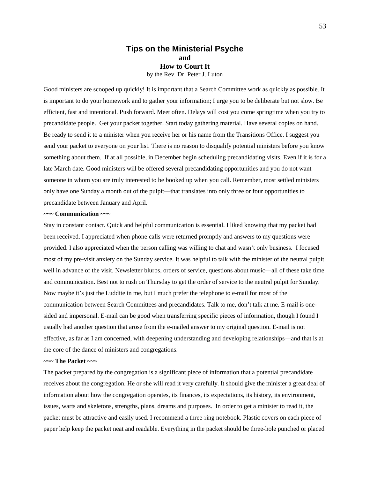#### **Tips on the Ministerial Psyche and How to Court It**  by the Rev. Dr. Peter J. Luton

Good ministers are scooped up quickly! It is important that a Search Committee work as quickly as possible. It is important to do your homework and to gather your information; I urge you to be deliberate but not slow. Be efficient, fast and intentional. Push forward. Meet often. Delays will cost you come springtime when you try to precandidate people. Get your packet together. Start today gathering material. Have several copies on hand. Be ready to send it to a minister when you receive her or his name from the Transitions Office. I suggest you send your packet to everyone on your list. There is no reason to disqualify potential ministers before you know something about them. If at all possible, in December begin scheduling precandidating visits. Even if it is for a late March date. Good ministers will be offered several precandidating opportunities and you do not want someone in whom you are truly interested to be booked up when you call. Remember, most settled ministers only have one Sunday a month out of the pulpit—that translates into only three or four opportunities to precandidate between January and April.

#### **~~~ Communication ~~~**

Stay in constant contact. Quick and helpful communication is essential. I liked knowing that my packet had been received. I appreciated when phone calls were returned promptly and answers to my questions were provided. I also appreciated when the person calling was willing to chat and wasn't only business. I focused most of my pre-visit anxiety on the Sunday service. It was helpful to talk with the minister of the neutral pulpit well in advance of the visit. Newsletter blurbs, orders of service, questions about music—all of these take time and communication. Best not to rush on Thursday to get the order of service to the neutral pulpit for Sunday. Now maybe it's just the Luddite in me, but I much prefer the telephone to e-mail for most of the communication between Search Committees and precandidates. Talk to me, don't talk at me. E-mail is onesided and impersonal. E-mail can be good when transferring specific pieces of information, though I found I usually had another question that arose from the e-mailed answer to my original question. E-mail is not effective, as far as I am concerned, with deepening understanding and developing relationships—and that is at the core of the dance of ministers and congregations.

#### **~~~ The Packet ~~~**

The packet prepared by the congregation is a significant piece of information that a potential precandidate receives about the congregation. He or she will read it very carefully. It should give the minister a great deal of information about how the congregation operates, its finances, its expectations, its history, its environment, issues, warts and skeletons, strengths, plans, dreams and purposes. In order to get a minister to read it, the packet must be attractive and easily used. I recommend a three-ring notebook. Plastic covers on each piece of paper help keep the packet neat and readable. Everything in the packet should be three-hole punched or placed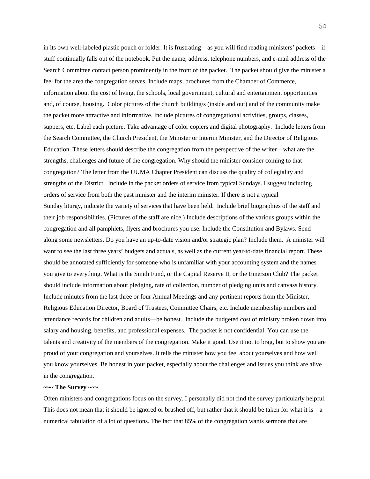in its own well-labeled plastic pouch or folder. It is frustrating—as you will find reading ministers' packets—if stuff continually falls out of the notebook. Put the name, address, telephone numbers, and e-mail address of the Search Committee contact person prominently in the front of the packet. The packet should give the minister a feel for the area the congregation serves. Include maps, brochures from the Chamber of Commerce, information about the cost of living, the schools, local government, cultural and entertainment opportunities and, of course, housing. Color pictures of the church building/s (inside and out) and of the community make the packet more attractive and informative. Include pictures of congregational activities, groups, classes, suppers, etc. Label each picture. Take advantage of color copiers and digital photography. Include letters from the Search Committee, the Church President, the Minister or Interim Minister, and the Director of Religious Education. These letters should describe the congregation from the perspective of the writer—what are the strengths, challenges and future of the congregation. Why should the minister consider coming to that congregation? The letter from the UUMA Chapter President can discuss the quality of collegiality and strengths of the District. Include in the packet orders of service from typical Sundays. I suggest including orders of service from both the past minister and the interim minister. If there is not a typical Sunday liturgy, indicate the variety of services that have been held. Include brief biographies of the staff and their job responsibilities. (Pictures of the staff are nice.) Include descriptions of the various groups within the congregation and all pamphlets, flyers and brochures you use. Include the Constitution and Bylaws. Send along some newsletters. Do you have an up-to-date vision and/or strategic plan? Include them. A minister will want to see the last three years' budgets and actuals, as well as the current year-to-date financial report. These should be annotated sufficiently for someone who is unfamiliar with your accounting system and the names you give to everything. What is the Smith Fund, or the Capital Reserve II, or the Emerson Club? The packet should include information about pledging, rate of collection, number of pledging units and canvass history. Include minutes from the last three or four Annual Meetings and any pertinent reports from the Minister, Religious Education Director, Board of Trustees, Committee Chairs, etc. Include membership numbers and attendance records for children and adults—be honest. Include the budgeted cost of ministry broken down into salary and housing, benefits, and professional expenses. The packet is not confidential. You can use the talents and creativity of the members of the congregation. Make it good. Use it not to brag, but to show you are proud of your congregation and yourselves. It tells the minister how you feel about yourselves and how well you know yourselves. Be honest in your packet, especially about the challenges and issues you think are alive in the congregation.

#### **~~~ The Survey ~~~**

Often ministers and congregations focus on the survey. I personally did not find the survey particularly helpful. This does not mean that it should be ignored or brushed off, but rather that it should be taken for what it is—a numerical tabulation of a lot of questions. The fact that 85% of the congregation wants sermons that are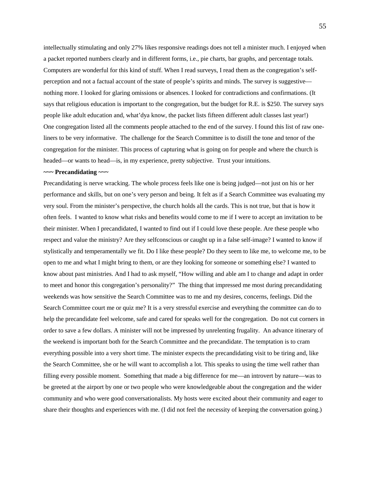intellectually stimulating and only 27% likes responsive readings does not tell a minister much. I enjoyed when a packet reported numbers clearly and in different forms, i.e., pie charts, bar graphs, and percentage totals. Computers are wonderful for this kind of stuff. When I read surveys, I read them as the congregation's selfperception and not a factual account of the state of people's spirits and minds. The survey is suggestive nothing more. I looked for glaring omissions or absences. I looked for contradictions and confirmations. (It says that religious education is important to the congregation, but the budget for R.E. is \$250. The survey says people like adult education and, what'dya know, the packet lists fifteen different adult classes last year!) One congregation listed all the comments people attached to the end of the survey. I found this list of raw oneliners to be very informative. The challenge for the Search Committee is to distill the tone and tenor of the congregation for the minister. This process of capturing what is going on for people and where the church is headed—or wants to head—is, in my experience, pretty subjective. Trust your intuitions.

#### **~~~ Precandidating ~~~**

Precandidating is nerve wracking. The whole process feels like one is being judged—not just on his or her performance and skills, but on one's very person and being. It felt as if a Search Committee was evaluating my very soul. From the minister's perspective, the church holds all the cards. This is not true, but that is how it often feels. I wanted to know what risks and benefits would come to me if I were to accept an invitation to be their minister. When I precandidated, I wanted to find out if I could love these people. Are these people who respect and value the ministry? Are they selfconscious or caught up in a false self-image? I wanted to know if stylistically and temperamentally we fit. Do I like these people? Do they seem to like me, to welcome me, to be open to me and what I might bring to them, or are they looking for someone or something else? I wanted to know about past ministries. And I had to ask myself, "How willing and able am I to change and adapt in order to meet and honor this congregation's personality?" The thing that impressed me most during precandidating weekends was how sensitive the Search Committee was to me and my desires, concerns, feelings. Did the Search Committee court me or quiz me? It is a very stressful exercise and everything the committee can do to help the precandidate feel welcome, safe and cared for speaks well for the congregation. Do not cut corners in order to save a few dollars. A minister will not be impressed by unrelenting frugality. An advance itinerary of the weekend is important both for the Search Committee and the precandidate. The temptation is to cram everything possible into a very short time. The minister expects the precandidating visit to be tiring and, like the Search Committee, she or he will want to accomplish a lot. This speaks to using the time well rather than filling every possible moment. Something that made a big difference for me—an introvert by nature—was to be greeted at the airport by one or two people who were knowledgeable about the congregation and the wider community and who were good conversationalists. My hosts were excited about their community and eager to share their thoughts and experiences with me. (I did not feel the necessity of keeping the conversation going.)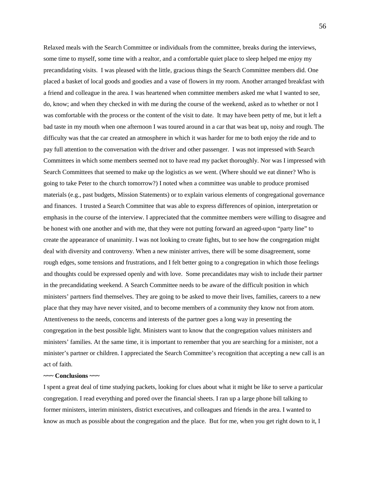Relaxed meals with the Search Committee or individuals from the committee, breaks during the interviews, some time to myself, some time with a realtor, and a comfortable quiet place to sleep helped me enjoy my precandidating visits. I was pleased with the little, gracious things the Search Committee members did. One placed a basket of local goods and goodies and a vase of flowers in my room. Another arranged breakfast with a friend and colleague in the area. I was heartened when committee members asked me what I wanted to see, do, know; and when they checked in with me during the course of the weekend, asked as to whether or not I was comfortable with the process or the content of the visit to date. It may have been petty of me, but it left a bad taste in my mouth when one afternoon I was toured around in a car that was beat up, noisy and rough. The difficulty was that the car created an atmosphere in which it was harder for me to both enjoy the ride and to pay full attention to the conversation with the driver and other passenger. I was not impressed with Search Committees in which some members seemed not to have read my packet thoroughly. Nor was I impressed with Search Committees that seemed to make up the logistics as we went. (Where should we eat dinner? Who is going to take Peter to the church tomorrow?) I noted when a committee was unable to produce promised materials (e.g., past budgets, Mission Statements) or to explain various elements of congregational governance and finances. I trusted a Search Committee that was able to express differences of opinion, interpretation or emphasis in the course of the interview. I appreciated that the committee members were willing to disagree and be honest with one another and with me, that they were not putting forward an agreed-upon "party line" to create the appearance of unanimity. I was not looking to create fights, but to see how the congregation might deal with diversity and controversy. When a new minister arrives, there will be some disagreement, some rough edges, some tensions and frustrations, and I felt better going to a congregation in which those feelings and thoughts could be expressed openly and with love. Some precandidates may wish to include their partner in the precandidating weekend. A Search Committee needs to be aware of the difficult position in which ministers' partners find themselves. They are going to be asked to move their lives, families, careers to a new place that they may have never visited, and to become members of a community they know not from atom. Attentiveness to the needs, concerns and interests of the partner goes a long way in presenting the congregation in the best possible light. Ministers want to know that the congregation values ministers and ministers' families. At the same time, it is important to remember that you are searching for a minister, not a minister's partner or children. I appreciated the Search Committee's recognition that accepting a new call is an act of faith.

#### **~~~ Conclusions ~~~**

I spent a great deal of time studying packets, looking for clues about what it might be like to serve a particular congregation. I read everything and pored over the financial sheets. I ran up a large phone bill talking to former ministers, interim ministers, district executives, and colleagues and friends in the area. I wanted to know as much as possible about the congregation and the place. But for me, when you get right down to it, I